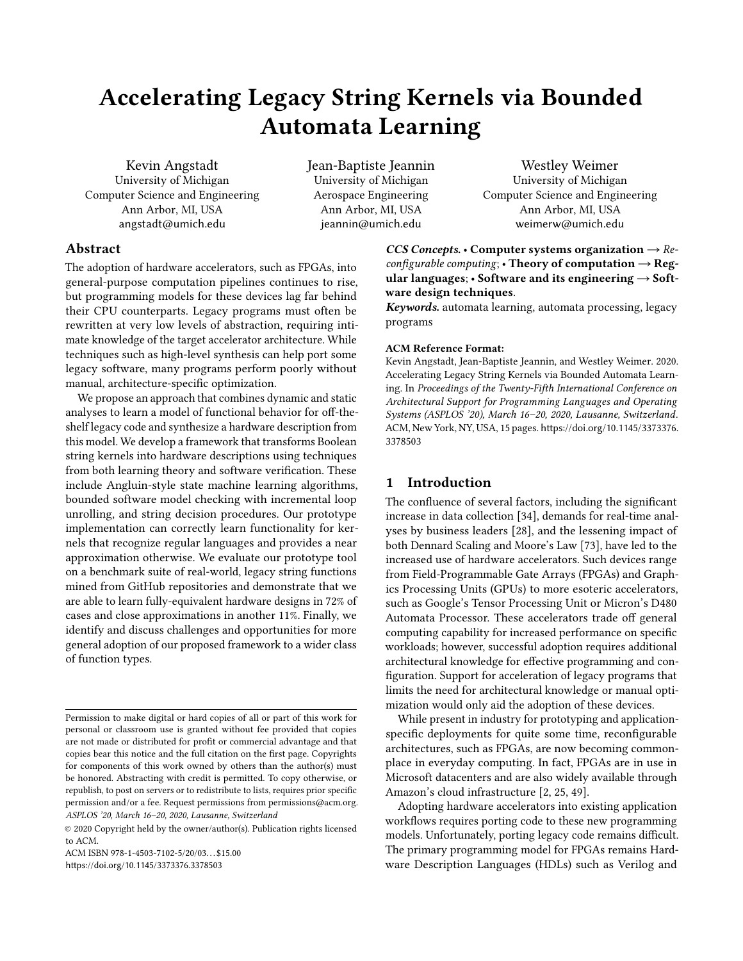# Accelerating Legacy String Kernels via Bounded Automata Learning

Kevin Angstadt University of Michigan Computer Science and Engineering Ann Arbor, MI, USA angstadt@umich.edu

Jean-Baptiste Jeannin University of Michigan Aerospace Engineering Ann Arbor, MI, USA jeannin@umich.edu

# Abstract

The adoption of hardware accelerators, such as FPGAs, into general-purpose computation pipelines continues to rise, but programming models for these devices lag far behind their CPU counterparts. Legacy programs must often be rewritten at very low levels of abstraction, requiring intimate knowledge of the target accelerator architecture. While techniques such as high-level synthesis can help port some legacy software, many programs perform poorly without manual, architecture-specific optimization.

We propose an approach that combines dynamic and static analyses to learn a model of functional behavior for off-theshelf legacy code and synthesize a hardware description from this model. We develop a framework that transforms Boolean string kernels into hardware descriptions using techniques from both learning theory and software verification. These include Angluin-style state machine learning algorithms, bounded software model checking with incremental loop unrolling, and string decision procedures. Our prototype implementation can correctly learn functionality for kernels that recognize regular languages and provides a near approximation otherwise. We evaluate our prototype tool on a benchmark suite of real-world, legacy string functions mined from GitHub repositories and demonstrate that we are able to learn fully-equivalent hardware designs in 72% of cases and close approximations in another 11%. Finally, we identify and discuss challenges and opportunities for more general adoption of our proposed framework to a wider class of function types.

ACM ISBN 978-1-4503-7102-5/20/03. . . \$15.00 <https://doi.org/10.1145/3373376.3378503>

Westley Weimer University of Michigan Computer Science and Engineering Ann Arbor, MI, USA weimerw@umich.edu

CCS Concepts. • Computer systems organization  $\rightarrow$  Reconfigurable computing; • Theory of computation  $\rightarrow$  Regular languages;  $\cdot$  Software and its engineering  $\rightarrow$  Software design techniques.

Keywords. automata learning, automata processing, legacy programs

#### ACM Reference Format:

Kevin Angstadt, Jean-Baptiste Jeannin, and Westley Weimer. 2020. Accelerating Legacy String Kernels via Bounded Automata Learning. In Proceedings of the Twenty-Fifth International Conference on Architectural Support for Programming Languages and Operating Systems (ASPLOS '20), March 16–20, 2020, Lausanne, Switzerland. ACM, New York, NY, USA, [15](#page-14-0) pages. [https://doi.org/10.1145/3373376.](https://doi.org/10.1145/3373376.3378503) [3378503](https://doi.org/10.1145/3373376.3378503)

# 1 Introduction

The confluence of several factors, including the significant increase in data collection [\[34\]](#page-12-0), demands for real-time analyses by business leaders [\[28\]](#page-12-1), and the lessening impact of both Dennard Scaling and Moore's Law [\[73\]](#page-14-1), have led to the increased use of hardware accelerators. Such devices range from Field-Programmable Gate Arrays (FPGAs) and Graphics Processing Units (GPUs) to more esoteric accelerators, such as Google's Tensor Processing Unit or Micron's D480 Automata Processor. These accelerators trade off general computing capability for increased performance on specific workloads; however, successful adoption requires additional architectural knowledge for effective programming and configuration. Support for acceleration of legacy programs that limits the need for architectural knowledge or manual optimization would only aid the adoption of these devices.

While present in industry for prototyping and applicationspecific deployments for quite some time, reconfigurable architectures, such as FPGAs, are now becoming commonplace in everyday computing. In fact, FPGAs are in use in Microsoft datacenters and are also widely available through Amazon's cloud infrastructure [\[2,](#page-11-0) [25,](#page-12-2) [49\]](#page-13-0).

Adopting hardware accelerators into existing application workflows requires porting code to these new programming models. Unfortunately, porting legacy code remains difficult. The primary programming model for FPGAs remains Hardware Description Languages (HDLs) such as Verilog and

Permission to make digital or hard copies of all or part of this work for personal or classroom use is granted without fee provided that copies are not made or distributed for profit or commercial advantage and that copies bear this notice and the full citation on the first page. Copyrights for components of this work owned by others than the author(s) must be honored. Abstracting with credit is permitted. To copy otherwise, or republish, to post on servers or to redistribute to lists, requires prior specific permission and/or a fee. Request permissions from permissions@acm.org. ASPLOS '20, March 16–20, 2020, Lausanne, Switzerland

<sup>©</sup> 2020 Copyright held by the owner/author(s). Publication rights licensed to ACM.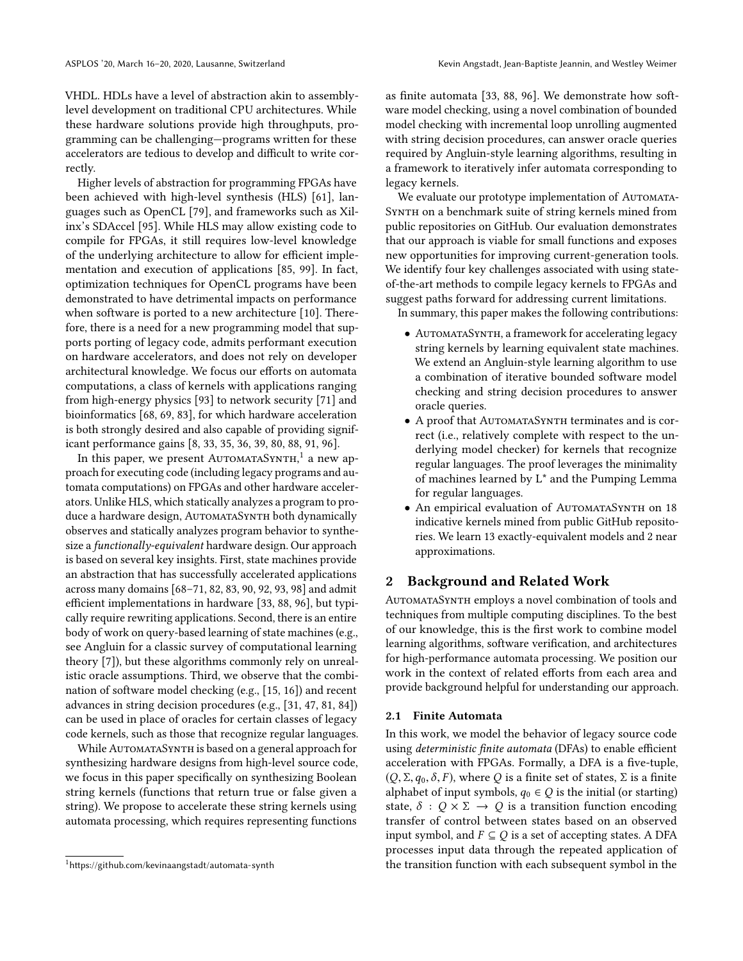VHDL. HDLs have a level of abstraction akin to assemblylevel development on traditional CPU architectures. While these hardware solutions provide high throughputs, programming can be challenging—programs written for these accelerators are tedious to develop and difficult to write correctly.

Higher levels of abstraction for programming FPGAs have been achieved with high-level synthesis (HLS) [\[61\]](#page-13-1), languages such as OpenCL [\[79\]](#page-14-2), and frameworks such as Xilinx's SDAccel [\[95\]](#page-14-3). While HLS may allow existing code to compile for FPGAs, it still requires low-level knowledge of the underlying architecture to allow for efficient implementation and execution of applications [\[85,](#page-14-4) [99\]](#page-14-5). In fact, optimization techniques for OpenCL programs have been demonstrated to have detrimental impacts on performance when software is ported to a new architecture [\[10\]](#page-12-3). Therefore, there is a need for a new programming model that supports porting of legacy code, admits performant execution on hardware accelerators, and does not rely on developer architectural knowledge. We focus our efforts on automata computations, a class of kernels with applications ranging from high-energy physics [\[93\]](#page-14-6) to network security [\[71\]](#page-14-7) and bioinformatics [\[68,](#page-13-2) [69,](#page-13-3) [83\]](#page-14-8), for which hardware acceleration is both strongly desired and also capable of providing significant performance gains [\[8,](#page-12-4) [33,](#page-12-5) [35,](#page-12-6) [36,](#page-12-7) [39,](#page-13-4) [80,](#page-14-9) [88,](#page-14-10) [91,](#page-14-11) [96\]](#page-14-12).

In this paper, we present AutomataSynth, $^{\rm 1}$  $^{\rm 1}$  $^{\rm 1}$  a new approach for executing code (including legacy programs and automata computations) on FPGAs and other hardware accelerators. Unlike HLS, which statically analyzes a program to produce a hardware design, AUTOMATASYNTH both dynamically observes and statically analyzes program behavior to synthesize a functionally-equivalent hardware design. Our approach is based on several key insights. First, state machines provide an abstraction that has successfully accelerated applications across many domains [\[68–](#page-13-2)[71,](#page-14-7) [82,](#page-14-13) [83,](#page-14-8) [90,](#page-14-14) [92,](#page-14-15) [93,](#page-14-6) [98\]](#page-14-16) and admit efficient implementations in hardware [\[33,](#page-12-5) [88,](#page-14-10) [96\]](#page-14-12), but typically require rewriting applications. Second, there is an entire body of work on query-based learning of state machines (e.g., see Angluin for a classic survey of computational learning theory [\[7\]](#page-12-8)), but these algorithms commonly rely on unrealistic oracle assumptions. Third, we observe that the combination of software model checking (e.g., [\[15,](#page-12-9) [16\]](#page-12-10)) and recent advances in string decision procedures (e.g., [\[31,](#page-12-11) [47,](#page-13-5) [81,](#page-14-17) [84\]](#page-14-18)) can be used in place of oracles for certain classes of legacy code kernels, such as those that recognize regular languages.

While AUTOMATASYNTH is based on a general approach for synthesizing hardware designs from high-level source code, we focus in this paper specifically on synthesizing Boolean string kernels (functions that return true or false given a string). We propose to accelerate these string kernels using automata processing, which requires representing functions

as finite automata [\[33,](#page-12-5) [88,](#page-14-10) [96\]](#page-14-12). We demonstrate how software model checking, using a novel combination of bounded model checking with incremental loop unrolling augmented with string decision procedures, can answer oracle queries required by Angluin-style learning algorithms, resulting in a framework to iteratively infer automata corresponding to legacy kernels.

We evaluate our prototype implementation of AUTOMATA-SYNTH on a benchmark suite of string kernels mined from public repositories on GitHub. Our evaluation demonstrates that our approach is viable for small functions and exposes new opportunities for improving current-generation tools. We identify four key challenges associated with using stateof-the-art methods to compile legacy kernels to FPGAs and suggest paths forward for addressing current limitations.

In summary, this paper makes the following contributions:

- AUTOMATASYNTH, a framework for accelerating legacy string kernels by learning equivalent state machines. We extend an Angluin-style learning algorithm to use a combination of iterative bounded software model checking and string decision procedures to answer oracle queries.
- A proof that AUTOMATASYNTH terminates and is correct (i.e., relatively complete with respect to the underlying model checker) for kernels that recognize regular languages. The proof leverages the minimality of machines learned by L\* and the Pumping Lemma for regular languages.
- An empirical evaluation of AUTOMATASYNTH on 18 indicative kernels mined from public GitHub repositories. We learn 13 exactly-equivalent models and 2 near approximations.

# 2 Background and Related Work

AutomataSynth employs a novel combination of tools and techniques from multiple computing disciplines. To the best of our knowledge, this is the first work to combine model learning algorithms, software verification, and architectures for high-performance automata processing. We position our work in the context of related efforts from each area and provide background helpful for understanding our approach.

## 2.1 Finite Automata

In this work, we model the behavior of legacy source code using deterministic finite automata (DFAs) to enable efficient acceleration with FPGAs. Formally, a DFA is a five-tuple,  $(Q, \Sigma, q_0, \delta, F)$ , where Q is a finite set of states,  $\Sigma$  is a finite alphabet of input symbols,  $q_0 \in Q$  is the initial (or starting) state,  $\delta : Q \times \Sigma \rightarrow Q$  is a transition function encoding transfer of control between states based on an observed input symbol, and  $F \subseteq Q$  is a set of accepting states. A DFA processes input data through the repeated application of the transition function with each subsequent symbol in the

<span id="page-1-0"></span><sup>&</sup>lt;sup>1</sup><https://github.com/kevinaangstadt/automata-synth>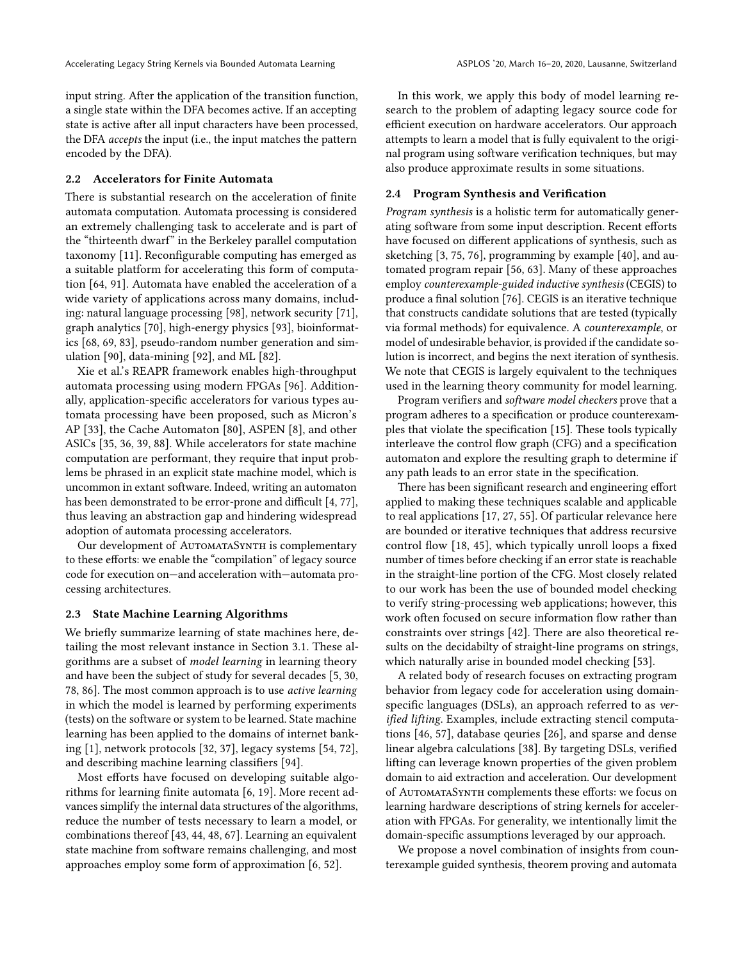input string. After the application of the transition function, a single state within the DFA becomes active. If an accepting state is active after all input characters have been processed, the DFA accepts the input (i.e., the input matches the pattern encoded by the DFA).

## 2.2 Accelerators for Finite Automata

There is substantial research on the acceleration of finite automata computation. Automata processing is considered an extremely challenging task to accelerate and is part of the "thirteenth dwarf" in the Berkeley parallel computation taxonomy [\[11\]](#page-12-12). Reconfigurable computing has emerged as a suitable platform for accelerating this form of computation [\[64,](#page-13-6) [91\]](#page-14-11). Automata have enabled the acceleration of a wide variety of applications across many domains, including: natural language processing [\[98\]](#page-14-16), network security [\[71\]](#page-14-7), graph analytics [\[70\]](#page-13-7), high-energy physics [\[93\]](#page-14-6), bioinformatics [\[68,](#page-13-2) [69,](#page-13-3) [83\]](#page-14-8), pseudo-random number generation and simulation [\[90\]](#page-14-14), data-mining [\[92\]](#page-14-15), and ML [\[82\]](#page-14-13).

Xie et al.'s REAPR framework enables high-throughput automata processing using modern FPGAs [\[96\]](#page-14-12). Additionally, application-specific accelerators for various types automata processing have been proposed, such as Micron's AP [\[33\]](#page-12-5), the Cache Automaton [\[80\]](#page-14-9), ASPEN [\[8\]](#page-12-4), and other ASICs [\[35,](#page-12-6) [36,](#page-12-7) [39,](#page-13-4) [88\]](#page-14-10). While accelerators for state machine computation are performant, they require that input problems be phrased in an explicit state machine model, which is uncommon in extant software. Indeed, writing an automaton has been demonstrated to be error-prone and difficult [\[4,](#page-12-13) [77\]](#page-14-19), thus leaving an abstraction gap and hindering widespread adoption of automata processing accelerators.

Our development of AUTOMATASYNTH is complementary to these efforts: we enable the "compilation" of legacy source code for execution on—and acceleration with—automata processing architectures.

#### 2.3 State Machine Learning Algorithms

We briefly summarize learning of state machines here, detailing the most relevant instance in Section [3.1.](#page-3-0) These algorithms are a subset of model learning in learning theory and have been the subject of study for several decades [\[5,](#page-12-14) [30,](#page-12-15) [78,](#page-14-20) [86\]](#page-14-21). The most common approach is to use active learning in which the model is learned by performing experiments (tests) on the software or system to be learned. State machine learning has been applied to the domains of internet banking [\[1\]](#page-11-1), network protocols [\[32,](#page-12-16) [37\]](#page-12-17), legacy systems [\[54,](#page-13-8) [72\]](#page-14-22), and describing machine learning classifiers [\[94\]](#page-14-23).

Most efforts have focused on developing suitable algorithms for learning finite automata [\[6,](#page-12-18) [19\]](#page-12-19). More recent advances simplify the internal data structures of the algorithms, reduce the number of tests necessary to learn a model, or combinations thereof [\[43,](#page-13-9) [44,](#page-13-10) [48,](#page-13-11) [67\]](#page-13-12). Learning an equivalent state machine from software remains challenging, and most approaches employ some form of approximation [\[6,](#page-12-18) [52\]](#page-13-13).

In this work, we apply this body of model learning research to the problem of adapting legacy source code for efficient execution on hardware accelerators. Our approach attempts to learn a model that is fully equivalent to the original program using software verification techniques, but may also produce approximate results in some situations.

# 2.4 Program Synthesis and Verification

Program synthesis is a holistic term for automatically generating software from some input description. Recent efforts have focused on different applications of synthesis, such as sketching [\[3,](#page-11-2) [75,](#page-14-24) [76\]](#page-14-25), programming by example [\[40\]](#page-13-14), and automated program repair [\[56,](#page-13-15) [63\]](#page-13-16). Many of these approaches employ counterexample-guided inductive synthesis (CEGIS) to produce a final solution [\[76\]](#page-14-25). CEGIS is an iterative technique that constructs candidate solutions that are tested (typically via formal methods) for equivalence. A counterexample, or model of undesirable behavior, is provided if the candidate solution is incorrect, and begins the next iteration of synthesis. We note that CEGIS is largely equivalent to the techniques used in the learning theory community for model learning.

Program verifiers and software model checkers prove that a program adheres to a specification or produce counterexamples that violate the specification [\[15\]](#page-12-9). These tools typically interleave the control flow graph (CFG) and a specification automaton and explore the resulting graph to determine if any path leads to an error state in the specification.

There has been significant research and engineering effort applied to making these techniques scalable and applicable to real applications [\[17,](#page-12-20) [27,](#page-12-21) [55\]](#page-13-17). Of particular relevance here are bounded or iterative techniques that address recursive control flow [\[18,](#page-12-22) [45\]](#page-13-18), which typically unroll loops a fixed number of times before checking if an error state is reachable in the straight-line portion of the CFG. Most closely related to our work has been the use of bounded model checking to verify string-processing web applications; however, this work often focused on secure information flow rather than constraints over strings [\[42\]](#page-13-19). There are also theoretical results on the decidabilty of straight-line programs on strings, which naturally arise in bounded model checking [\[53\]](#page-13-20).

A related body of research focuses on extracting program behavior from legacy code for acceleration using domainspecific languages (DSLs), an approach referred to as verified lifting. Examples, include extracting stencil computations [\[46,](#page-13-21) [57\]](#page-13-22), database qeuries [\[26\]](#page-12-23), and sparse and dense linear algebra calculations [\[38\]](#page-13-23). By targeting DSLs, verified lifting can leverage known properties of the given problem domain to aid extraction and acceleration. Our development of AutomataSynth complements these efforts: we focus on learning hardware descriptions of string kernels for acceleration with FPGAs. For generality, we intentionally limit the domain-specific assumptions leveraged by our approach.

We propose a novel combination of insights from counterexample guided synthesis, theorem proving and automata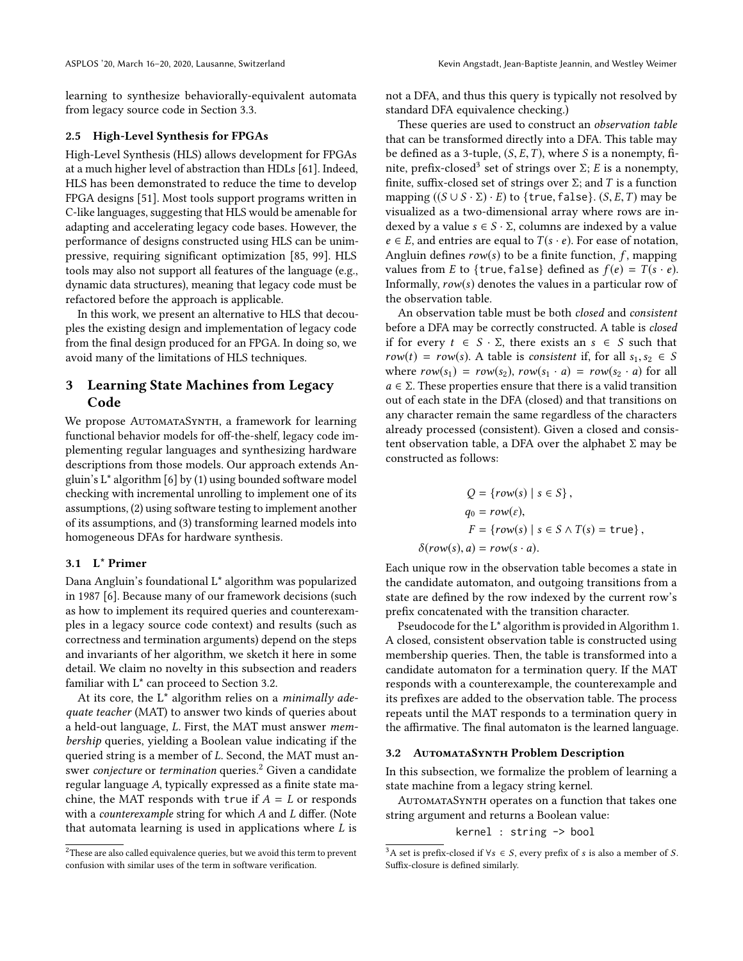learning to synthesize behaviorally-equivalent automata from legacy source code in Section [3.3.](#page-4-0)

#### 2.5 High-Level Synthesis for FPGAs

High-Level Synthesis (HLS) allows development for FPGAs at a much higher level of abstraction than HDLs [\[61\]](#page-13-1). Indeed, HLS has been demonstrated to reduce the time to develop FPGA designs [\[51\]](#page-13-24). Most tools support programs written in C-like languages, suggesting that HLS would be amenable for adapting and accelerating legacy code bases. However, the performance of designs constructed using HLS can be unimpressive, requiring significant optimization [\[85,](#page-14-4) [99\]](#page-14-5). HLS tools may also not support all features of the language (e.g., dynamic data structures), meaning that legacy code must be refactored before the approach is applicable.

In this work, we present an alternative to HLS that decouples the existing design and implementation of legacy code from the final design produced for an FPGA. In doing so, we avoid many of the limitations of HLS techniques.

# 3 Learning State Machines from Legacy Code

We propose AUTOMATASYNTH, a framework for learning functional behavior models for off-the-shelf, legacy code implementing regular languages and synthesizing hardware descriptions from those models. Our approach extends Angluin's L\* algorithm [\[6\]](#page-12-18) by (1) using bounded software model checking with incremental unrolling to implement one of its assumptions, (2) using software testing to implement another of its assumptions, and (3) transforming learned models into homogeneous DFAs for hardware synthesis.

#### <span id="page-3-0"></span>3.1 L\* Primer

Dana Angluin's foundational L\* algorithm was popularized in 1987 [\[6\]](#page-12-18). Because many of our framework decisions (such as how to implement its required queries and counterexamples in a legacy source code context) and results (such as correctness and termination arguments) depend on the steps and invariants of her algorithm, we sketch it here in some detail. We claim no novelty in this subsection and readers familiar with L\* can proceed to Section [3.2.](#page-3-1)

At its core, the  $L^*$  algorithm relies on a *minimally ade*quate teacher (MAT) to answer two kinds of queries about a held-out language, L. First, the MAT must answer membership queries, yielding a Boolean value indicating if the queried string is a member of L. Second, the MAT must an-swer conjecture or termination queries.<sup>[2](#page-3-2)</sup> Given a candidate regular language A, typically expressed as a finite state machine, the MAT responds with true if  $A = L$  or responds with a counterexample string for which A and L differ. (Note that automata learning is used in applications where  $L$  is

not a DFA, and thus this query is typically not resolved by standard DFA equivalence checking.)

These queries are used to construct an observation table that can be transformed directly into a DFA. This table may be defined as a 3-tuple,  $(S, E, T)$ , where S is a nonempty, fi-nite, prefix-closed<sup>[3](#page-3-3)</sup> set of strings over  $\Sigma$ ; *E* is a nonempty,<br>finite, suffix-closed set of strings over  $\Sigma$ ; and *T* is a function finite, suffix-closed set of strings over  $\Sigma$ ; and T is a function mapping  $((S \cup S \cdot \Sigma) \cdot E)$  to {true, false}.  $(S, E, T)$  may be visualized as a two-dimensional array where rows are indexed by a value  $s \in S \cdot \Sigma$ , columns are indexed by a value  $e \in E$ , and entries are equal to  $T(s \cdot e)$ . For ease of notation, Angluin defines  $row(s)$  to be a finite function, f, mapping values from *E* to {true, false} defined as  $f(e) = T(s \cdot e)$ . Informally, row(s) denotes the values in a particular row of the observation table.

An observation table must be both closed and consistent before a DFA may be correctly constructed. A table is closed if for every  $t \in S \cdot \Sigma$ , there exists an  $s \in S$  such that  $row(t) = row(s)$ . A table is consistent if, for all  $s_1, s_2 \in S$ where  $row(s_1) = row(s_2)$ ,  $row(s_1 \cdot a) = row(s_2 \cdot a)$  for all  $a \in \Sigma$ . These properties ensure that there is a valid transition out of each state in the DFA (closed) and that transitions on any character remain the same regardless of the characters already processed (consistent). Given a closed and consistent observation table, a DFA over the alphabet  $\Sigma$  may be constructed as follows:

$$
Q = \{row(s) \mid s \in S\},
$$
  
\n
$$
q_0 = row(\varepsilon),
$$
  
\n
$$
F = \{row(s) \mid s \in S \land T(s) = \text{true}\},
$$
  
\n
$$
\delta(row(s), a) = row(s \cdot a).
$$

Each unique row in the observation table becomes a state in the candidate automaton, and outgoing transitions from a state are defined by the row indexed by the current row's prefix concatenated with the transition character.

Pseudocode for the L\* algorithm is provided in Algorithm [1.](#page-4-1) A closed, consistent observation table is constructed using membership queries. Then, the table is transformed into a candidate automaton for a termination query. If the MAT responds with a counterexample, the counterexample and its prefixes are added to the observation table. The process repeats until the MAT responds to a termination query in the affirmative. The final automaton is the learned language.

## <span id="page-3-1"></span>3.2 AUTOMATASYNTH Problem Description

In this subsection, we formalize the problem of learning a state machine from a legacy string kernel.

AUTOMATASYNTH operates on a function that takes one string argument and returns a Boolean value:

#### kernel : string -> bool

<span id="page-3-2"></span><sup>&</sup>lt;sup>2</sup>These are also called equivalence queries, but we avoid this term to prevent confusion with similar uses of the term in software verification.

<span id="page-3-3"></span><sup>&</sup>lt;sup>3</sup>A set is prefix-closed if  $\forall s \in S$ , every prefix of s is also a member of S. Suffix-closure is defined similarly.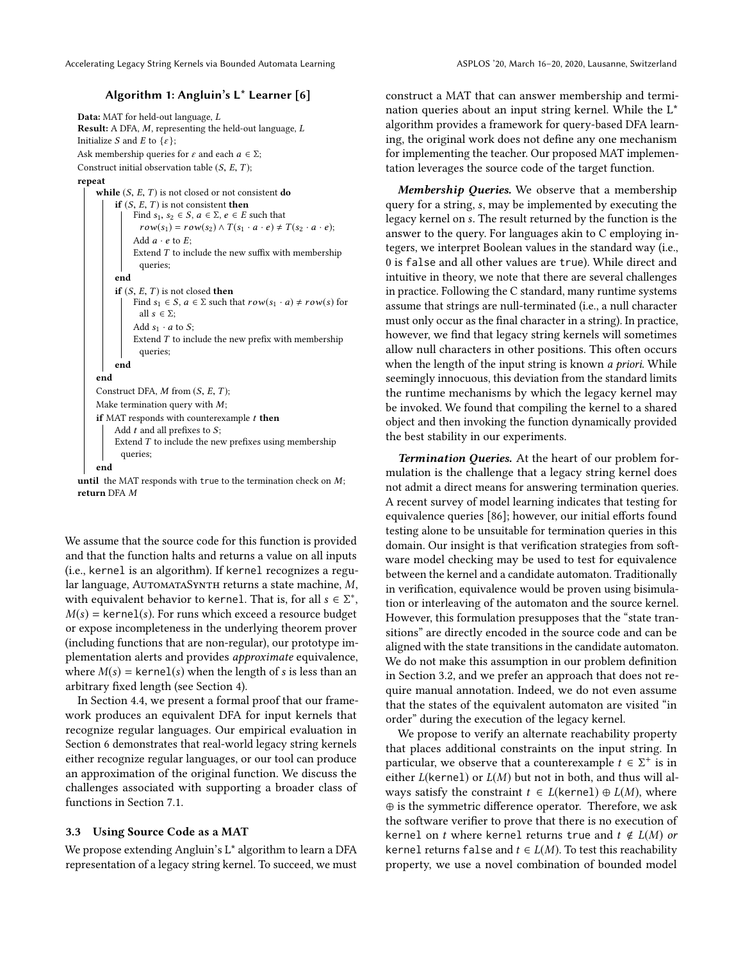## Algorithm 1: Angluin's L\* Learner [\[6\]](#page-12-18)

<span id="page-4-1"></span>Data: MAT for held-out language, L Result: A DFA, M, representing the held-out language, L Initialize S and E to  $\{\varepsilon\}$ ; Ask membership queries for  $\varepsilon$  and each  $a \in \Sigma$ ; Construct initial observation table  $(S, E, T)$ ;

#### repeat

```
while (S, E, T) is not closed or not consistent do
     if (S, E, T) is not consistent then
          Find s_1, s_2 \in S, a \in \Sigma, e \in E such that
            row(s_1) = row(s_2) \wedge T(s_1 \cdot a \cdot e) \neq T(s_2 \cdot a \cdot e);Add a \cdot e to E:
          Extend T to include the new suffix with membership
            queries;
     end
     if (S, E, T) is not closed then
          Find s_1 \in S, a \in \Sigma such that row(s_1 \cdot a) \neq row(s) for
           all s \in \Sigma:
          Add s_1 \cdot a to S;
          Extend T to include the new prefix with membership
            queries;
     end
end
Construct DFA, M from (S, E, T);
Make termination query with M;
if MAT responds with counterexample t then
     Add t and all prefixes to S;
     Extend T to include the new prefixes using membership
       queries;
end
```
until the MAT responds with true to the termination check on  $M$ ; return DFA M

We assume that the source code for this function is provided and that the function halts and returns a value on all inputs (i.e., kernel is an algorithm). If kernel recognizes a regular language, AUTOMATASYNTH returns a state machine, M, with equivalent behavior to kernel. That is, for all  $s \in \Sigma^*$ ,<br> $M(s)$  – kernel(s) For runs which exceed a resource budget  $M(s)$  = kernel(s). For runs which exceed a resource budget or expose incompleteness in the underlying theorem prover (including functions that are non-regular), our prototype implementation alerts and provides approximate equivalence, where  $M(s)$  = kernel(s) when the length of s is less than an arbitrary fixed length (see Section [4\)](#page-5-0).

In Section [4.4,](#page-6-0) we present a formal proof that our framework produces an equivalent DFA for input kernels that recognize regular languages. Our empirical evaluation in Section [6](#page-9-0) demonstrates that real-world legacy string kernels either recognize regular languages, or our tool can produce an approximation of the original function. We discuss the challenges associated with supporting a broader class of functions in Section [7.1.](#page-10-0)

#### <span id="page-4-0"></span>3.3 Using Source Code as a MAT

We propose extending Angluin's L\* algorithm to learn a DFA representation of a legacy string kernel. To succeed, we must

construct a MAT that can answer membership and termination queries about an input string kernel. While the L\* algorithm provides a framework for query-based DFA learning, the original work does not define any one mechanism for implementing the teacher. Our proposed MAT implementation leverages the source code of the target function.

Membership Queries. We observe that a membership query for a string, s, may be implemented by executing the legacy kernel on s. The result returned by the function is the answer to the query. For languages akin to C employing integers, we interpret Boolean values in the standard way (i.e., 0 is false and all other values are true). While direct and intuitive in theory, we note that there are several challenges in practice. Following the C standard, many runtime systems assume that strings are null-terminated (i.e., a null character must only occur as the final character in a string). In practice, however, we find that legacy string kernels will sometimes allow null characters in other positions. This often occurs when the length of the input string is known *a priori*. While seemingly innocuous, this deviation from the standard limits the runtime mechanisms by which the legacy kernel may be invoked. We found that compiling the kernel to a shared object and then invoking the function dynamically provided the best stability in our experiments.

Termination Queries. At the heart of our problem formulation is the challenge that a legacy string kernel does not admit a direct means for answering termination queries. A recent survey of model learning indicates that testing for equivalence queries [\[86\]](#page-14-21); however, our initial efforts found testing alone to be unsuitable for termination queries in this domain. Our insight is that verification strategies from software model checking may be used to test for equivalence between the kernel and a candidate automaton. Traditionally in verification, equivalence would be proven using bisimulation or interleaving of the automaton and the source kernel. However, this formulation presupposes that the "state transitions" are directly encoded in the source code and can be aligned with the state transitions in the candidate automaton. We do not make this assumption in our problem definition in Section [3.2,](#page-3-1) and we prefer an approach that does not require manual annotation. Indeed, we do not even assume that the states of the equivalent automaton are visited "in order" during the execution of the legacy kernel.

We propose to verify an alternate reachability property that places additional constraints on the input string. In particular, we observe that a counterexample  $t \in \Sigma^+$  is in either  $I(kernel)$  or  $I(M)$  but not in both, and thus will all either  $L$ (kernel) or  $L(M)$  but not in both, and thus will always satisfy the constraint  $t \in L(\text{kernel}) \oplus L(M)$ , where ⊕ is the symmetric difference operator. Therefore, we ask the software verifier to prove that there is no execution of kernel on t where kernel returns true and  $t \notin L(M)$  or kernel returns false and  $t \in L(M)$ . To test this reachability property, we use a novel combination of bounded model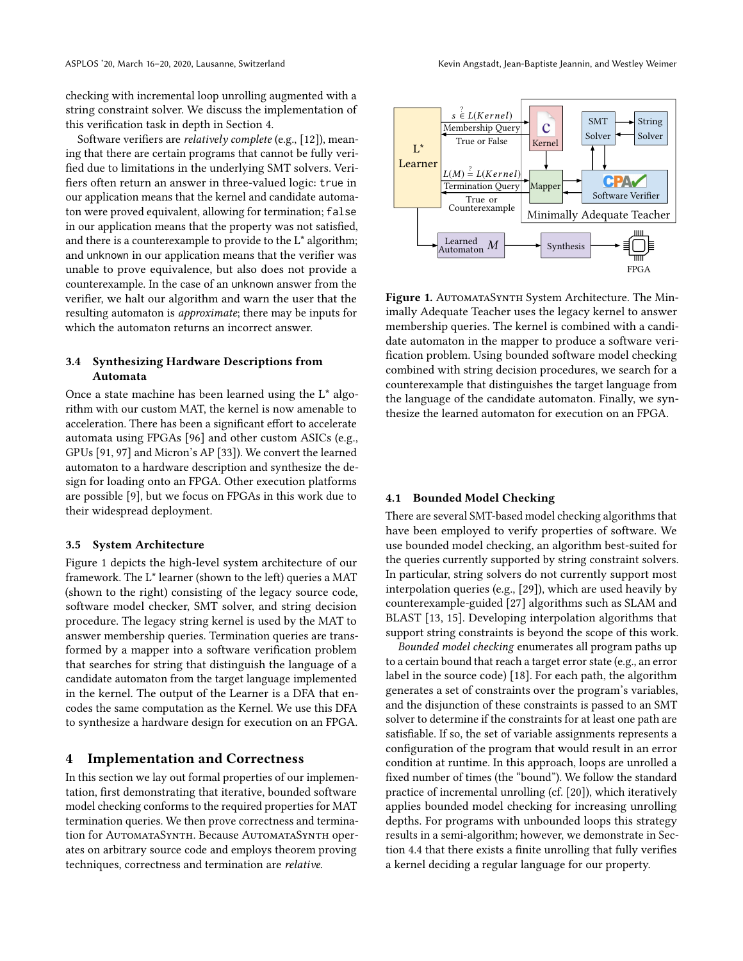checking with incremental loop unrolling augmented with a string constraint solver. We discuss the implementation of this verification task in depth in Section [4.](#page-5-0)

Software verifiers are relatively complete (e.g., [\[12\]](#page-12-24)), meaning that there are certain programs that cannot be fully verified due to limitations in the underlying SMT solvers. Verifiers often return an answer in three-valued logic: true in our application means that the kernel and candidate automaton were proved equivalent, allowing for termination; false in our application means that the property was not satisfied, and there is a counterexample to provide to the L\* algorithm; and unknown in our application means that the verifier was unable to prove equivalence, but also does not provide a counterexample. In the case of an unknown answer from the verifier, we halt our algorithm and warn the user that the resulting automaton is approximate; there may be inputs for which the automaton returns an incorrect answer.

## 3.4 Synthesizing Hardware Descriptions from Automata

Once a state machine has been learned using the L\* algorithm with our custom MAT, the kernel is now amenable to acceleration. There has been a significant effort to accelerate automata using FPGAs [\[96\]](#page-14-12) and other custom ASICs (e.g., GPUs [\[91,](#page-14-11) [97\]](#page-14-26) and Micron's AP [\[33\]](#page-12-5)). We convert the learned automaton to a hardware description and synthesize the design for loading onto an FPGA. Other execution platforms are possible [\[9\]](#page-12-25), but we focus on FPGAs in this work due to their widespread deployment.

#### 3.5 System Architecture

Figure [1](#page-5-1) depicts the high-level system architecture of our framework. The L\* learner (shown to the left) queries a MAT (shown to the right) consisting of the legacy source code, software model checker, SMT solver, and string decision procedure. The legacy string kernel is used by the MAT to answer membership queries. Termination queries are transformed by a mapper into a software verification problem that searches for string that distinguish the language of a candidate automaton from the target language implemented in the kernel. The output of the Learner is a DFA that encodes the same computation as the Kernel. We use this DFA to synthesize a hardware design for execution on an FPGA.

## <span id="page-5-0"></span>4 Implementation and Correctness

In this section we lay out formal properties of our implementation, first demonstrating that iterative, bounded software model checking conforms to the required properties for MAT termination queries. We then prove correctness and termination for AutomataSynth. Because AutomataSynth operates on arbitrary source code and employs theorem proving techniques, correctness and termination are relative.

<span id="page-5-1"></span>

Figure 1. AUTOMATASYNTH System Architecture. The Minimally Adequate Teacher uses the legacy kernel to answer membership queries. The kernel is combined with a candidate automaton in the mapper to produce a software verification problem. Using bounded software model checking combined with string decision procedures, we search for a counterexample that distinguishes the target language from the language of the candidate automaton. Finally, we synthesize the learned automaton for execution on an FPGA.

## 4.1 Bounded Model Checking

There are several SMT-based model checking algorithms that have been employed to verify properties of software. We use bounded model checking, an algorithm best-suited for the queries currently supported by string constraint solvers. In particular, string solvers do not currently support most interpolation queries (e.g., [\[29\]](#page-12-26)), which are used heavily by counterexample-guided [\[27\]](#page-12-21) algorithms such as SLAM and BLAST [\[13,](#page-12-27) [15\]](#page-12-9). Developing interpolation algorithms that support string constraints is beyond the scope of this work.

Bounded model checking enumerates all program paths up to a certain bound that reach a target error state (e.g., an error label in the source code) [\[18\]](#page-12-22). For each path, the algorithm generates a set of constraints over the program's variables, and the disjunction of these constraints is passed to an SMT solver to determine if the constraints for at least one path are satisfiable. If so, the set of variable assignments represents a configuration of the program that would result in an error condition at runtime. In this approach, loops are unrolled a fixed number of times (the "bound"). We follow the standard practice of incremental unrolling (cf. [\[20\]](#page-12-28)), which iteratively applies bounded model checking for increasing unrolling depths. For programs with unbounded loops this strategy results in a semi-algorithm; however, we demonstrate in Section [4.4](#page-6-0) that there exists a finite unrolling that fully verifies a kernel deciding a regular language for our property.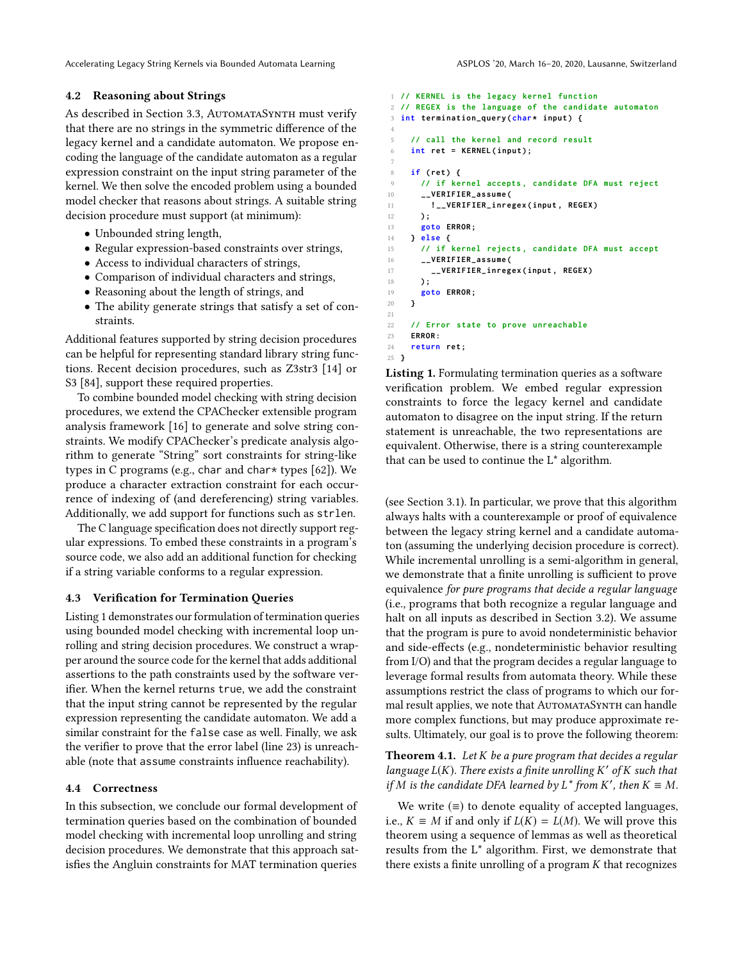#### 4.2 Reasoning about Strings

As described in Section [3.3,](#page-4-0) AutomataSynth must verify that there are no strings in the symmetric difference of the legacy kernel and a candidate automaton. We propose encoding the language of the candidate automaton as a regular expression constraint on the input string parameter of the kernel. We then solve the encoded problem using a bounded model checker that reasons about strings. A suitable string decision procedure must support (at minimum):

- Unbounded string length,
- Regular expression-based constraints over strings,
- Access to individual characters of strings,
- Comparison of individual characters and strings,
- Reasoning about the length of strings, and
- The ability generate strings that satisfy a set of constraints.

Additional features supported by string decision procedures can be helpful for representing standard library string functions. Recent decision procedures, such as Z3str3 [\[14\]](#page-12-29) or S3 [\[84\]](#page-14-18), support these required properties.

To combine bounded model checking with string decision procedures, we extend the CPAChecker extensible program analysis framework [\[16\]](#page-12-10) to generate and solve string constraints. We modify CPAChecker's predicate analysis algorithm to generate "String" sort constraints for string-like types in C programs (e.g., char and char\* types [\[62\]](#page-13-25)). We produce a character extraction constraint for each occurrence of indexing of (and dereferencing) string variables. Additionally, we add support for functions such as strlen.

The C language specification does not directly support regular expressions. To embed these constraints in a program's source code, we also add an additional function for checking if a string variable conforms to a regular expression.

#### 4.3 Verification for Termination Queries

Listing [1](#page-6-1) demonstrates our formulation of termination queries using bounded model checking with incremental loop unrolling and string decision procedures. We construct a wrapper around the source code for the kernel that adds additional assertions to the path constraints used by the software verifier. When the kernel returns true, we add the constraint that the input string cannot be represented by the regular expression representing the candidate automaton. We add a similar constraint for the false case as well. Finally, we ask the verifier to prove that the error label (line [23\)](#page-6-2) is unreachable (note that assume constraints influence reachability).

## <span id="page-6-0"></span>4.4 Correctness

In this subsection, we conclude our formal development of termination queries based on the combination of bounded model checking with incremental loop unrolling and string decision procedures. We demonstrate that this approach satisfies the Angluin constraints for MAT termination queries

```
1 // KERNEL is the legacy kernel function
2 // REGEX is the language of the candidate automaton
 3 int termination_query ( char * input ) {
 4
5 // call the kernel and record result
6 int ret = KERNEL ( input ) ;
7
8 if ( ret ) {
9 // if kernel accepts , candidate DFA must reject
10 __VERIFIER_assume (
11 ! __VERIFIER_inregex ( input , REGEX )
12 ) ;
13 goto ERROR ;
14 } else {
15 // if kernel rejects , candidate DFA must accept
16 __VERIFIER_assume (
17 __VERIFIER_inregex ( input , REGEX )
18 ) ;
19 goto ERROR ;
20 }
21
22 // Error state to prove unreachable
23 ERROR :
24 return ret ;
25 }
```
<span id="page-6-2"></span>Listing 1. Formulating termination queries as a software verification problem. We embed regular expression constraints to force the legacy kernel and candidate automaton to disagree on the input string. If the return statement is unreachable, the two representations are equivalent. Otherwise, there is a string counterexample that can be used to continue the L\* algorithm.

(see Section [3.1\)](#page-3-0). In particular, we prove that this algorithm always halts with a counterexample or proof of equivalence between the legacy string kernel and a candidate automaton (assuming the underlying decision procedure is correct). While incremental unrolling is a semi-algorithm in general, we demonstrate that a finite unrolling is sufficient to prove equivalence for pure programs that decide a regular language (i.e., programs that both recognize a regular language and halt on all inputs as described in Section [3.2\)](#page-3-1). We assume that the program is pure to avoid nondeterministic behavior and side-effects (e.g., nondeterministic behavior resulting from I/O) and that the program decides a regular language to leverage formal results from automata theory. While these assumptions restrict the class of programs to which our formal result applies, we note that AUTOMATASYNTH can handle more complex functions, but may produce approximate results. Ultimately, our goal is to prove the following theorem:

<span id="page-6-3"></span>**Theorem 4.1.** Let  $K$  be a pure program that decides a regular language  $L(K)$ . There exists a finite unrolling K' of K such that<br>if M is the candidate DEA learned by  $L^*$  from K', then  $K = M$ if M is the candidate DFA learned by  $L^*$  from K', then  $K \equiv M$ .

We write  $(\equiv)$  to denote equality of accepted languages, i.e.,  $K \equiv M$  if and only if  $L(K) = L(M)$ . We will prove this theorem using a sequence of lemmas as well as theoretical results from the L\* algorithm. First, we demonstrate that there exists a finite unrolling of a program  $K$  that recognizes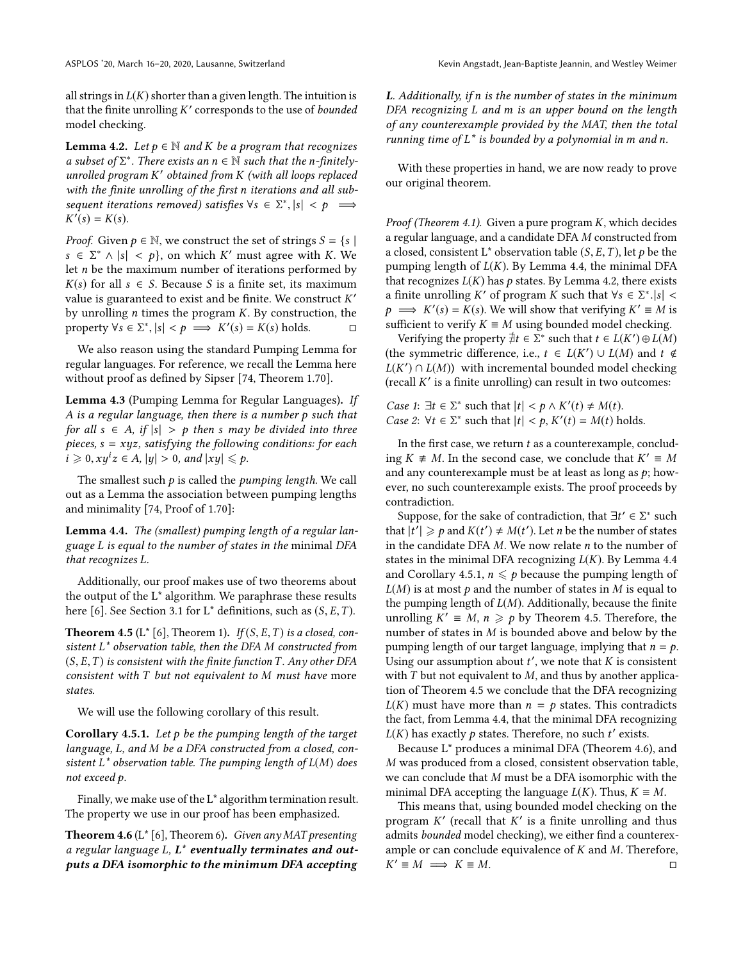all strings in  $L(K)$  shorter than a given length. The intuition is that the finite unrolling  $K'$  corresponds to the use of *bounded*<br>model checking model checking.

<span id="page-7-1"></span>**Lemma 4.2.** Let  $p \in \mathbb{N}$  and K be a program that recognizes a subset of  $\Sigma^*$ . There exists an  $n \in \mathbb{N}$  such that the n-finitely-<br>unrolled program K' obtained from K (with all loops replaced unrolled program K' obtained from K (with all loops replaced<br>with the finite unrolling of the first n iterations and all subwith the finite unrolling of the first n iterations and all subsequent iterations removed) satisfies  $\forall s \in \Sigma^*, |s| < p \implies$ <br> $K'(s) - K(s)$  $\bar{Y}(s) = K(s).$ 

*Proof.* Given  $p \in \mathbb{N}$ , we construct the set of strings  $S = \{s \mid s \in \mathbb{N}\}$  $s \in \Sigma^* \wedge |s| < p$ , on which K' must agree with K. We let n be the maximum number of iterations performed by let n be the maximum number of iterations performed by  $K(s)$  for all  $s \in S$ . Because S is a finite set, its maximum value is guaranteed to exist and be finite. We construct  $K'$ <br>by unrolling *n* times the program  $K$ . By construction, the by unrolling *n* times the program *K*. By construction, the property  $\forall s \in \Sigma^* \ |s| < n \implies K'(s) = K(s)$  holds property  $\forall s \in \Sigma^*, |s| < p \implies K'(s) = K(s)$  holds.  $\square$ 

We also reason using the standard Pumping Lemma for regular languages. For reference, we recall the Lemma here without proof as defined by Sipser [\[74,](#page-14-27) Theorem 1.70].

Lemma 4.3 (Pumping Lemma for Regular Languages). If A is a regular language, then there is a number p such that for all  $s \in A$ , if  $|s| > p$  then s may be divided into three pieces,  $s = xyz$ , satisfying the following conditions: for each  $i \geqslant 0, xy^iz \in A, |y| > 0, and |xy| \leqslant p.$ 

The smallest such  $p$  is called the *pumping length*. We call out as a Lemma the association between pumping lengths and minimality [\[74,](#page-14-27) Proof of 1.70]:

<span id="page-7-0"></span>Lemma 4.4. The (smallest) pumping length of a regular language L is equal to the number of states in the minimal DFA that recognizes L.

Additionally, our proof makes use of two theorems about the output of the L\* algorithm. We paraphrase these results here [\[6\]](#page-12-18). See Section [3.1](#page-3-0) for  $L^*$  definitions, such as  $(S, E, T)$ .

<span id="page-7-3"></span>**Theorem 4.5** ( $L^*$  [\[6\]](#page-12-18), Theorem 1). If  $(S, E, T)$  is a closed, consistent L\* observation table, then the DFA M constructed from  $(S, E, T)$  is consistent with the finite function T. Any other DFA consistent with T but not equivalent to M must have more states.

We will use the following corollary of this result.

<span id="page-7-2"></span>Corollary 4.5.1. Let  $p$  be the pumping length of the target language, L, and M be a DFA constructed from a closed, consistent  $L^*$  observation table. The pumping length of  $L(M)$  does not exceed p.

Finally, we make use of the L\* algorithm termination result. The property we use in our proof has been emphasized.

<span id="page-7-4"></span>**Theorem 4.6** ( $L^*$  [\[6\]](#page-12-18), Theorem 6). Given any MAT presenting a regular language  $L, L^*$  eventually terminates and outputs a DFA isomorphic to the minimum DFA accepting <sup>L</sup>. Additionally, if n is the number of states in the minimum DFA recognizing L and m is an upper bound on the length of any counterexample provided by the MAT, then the total running time of  $L^*$  is bounded by a polynomial in m and n.

With these properties in hand, we are now ready to prove our original theorem.

*Proof (Theorem [4.1\)](#page-6-3).* Given a pure program  $K$ , which decides a regular language, and a candidate DFA M constructed from a closed, consistent L<sup>\*</sup> observation table  $(S, E, T)$ , let p be the pumping length of  $L(K)$ . By Lemma [4.4,](#page-7-0) the minimal DFA that recognizes  $L(K)$  has  $p$  states. By Lemma [4.2,](#page-7-1) there exists a finite unrolling K' of program K such that  $\forall s \in \sum_{i=1}^{\infty} |s| < n$  $p \implies K'(s) = \overline{K}(s)$ . We will show that verifying  $K' \equiv M$  is sufficient to verify  $K = M$  using bounded model checking sufficient to verify  $K \equiv M$  using bounded model checking.

Verifying the property  $\exists t \in \Sigma^*$  such that  $t \in L(K') \oplus L(M)$ <br>be symmetric difference i.e.  $t \in L(K') \sqcup L(M)$  and  $t \neq t$ (the symmetric difference, i.e.,  $t \in L(K') \cup L(M)$  and  $t \notin L(K') \cap L(M)$ ) with incremental bounded model checking  $L(K') \cap L(M)$  with incremental bounded model checking<br>(recall K' is a finite unrolling) can result in two outcomes:  $(\text{recall } K' \text{ is a finite unrolling})$  can result in two outcomes:

Case 1:  $\exists t \in \Sigma^*$  such that  $|t| < p \wedge K'(t) \neq M(t)$ .<br>Case 2:  $\forall t \in \Sigma^*$  such that  $|t| < p K'(t) = M(t)$  b Case 2:  $\forall t \in \Sigma^*$  such that  $|t| < p$ ,  $K'(t) = M(t)$  holds.

In the first case, we return  $t$  as a counterexample, concluding  $K \neq M$ . In the second case, we conclude that  $K' \equiv M$ <br>and any counterexample must be at least as long as n; how and any counterexample must be at least as long as  $p$ ; however, no such counterexample exists. The proof proceeds by contradiction.

Suppose, for the sake of contradiction, that  $\exists t' \in \sum^*$  such  $\mathbf{H}(t') \geq n$  and  $K(t') \neq M(t')$ . Let n be the number of states that  $|t'| \geq p$  and  $K(t') \neq M(t')$ . Let *n* be the number of states<br>in the candidate DEA M. We now relate *n* to the number of in the candidate DFA  $M$ . We now relate  $n$  to the number of states in the minimal DFA recognizing  $L(K)$ . By Lemma [4.4](#page-7-0) and Corollary [4.5.1,](#page-7-2)  $n \leq p$  because the pumping length of  $L(M)$  is at most p and the number of states in M is equal to the pumping length of  $L(M)$ . Additionally, because the finite unrolling  $K' \equiv M$ ,  $n \geq p$  by Theorem [4.5.](#page-7-3) Therefore, the number of states in *M* is bounded above and below by the number of states in M is bounded above and below by the pumping length of our target language, implying that  $n = p$ . Using our assumption about  $t'$ , we note that  $K$  is consistent<br>with  $T$  but not equivalent to  $M$  and thus by another applicawith  $T$  but not equivalent to  $M$ , and thus by another application of Theorem [4.5](#page-7-3) we conclude that the DFA recognizing  $L(K)$  must have more than  $n = p$  states. This contradicts the fact, from Lemma [4.4,](#page-7-0) that the minimal DFA recognizing  $L(K)$  has exactly p states. Therefore, no such t' exists.<br>Because  $\mathbf{I}^*$  produces a minimal DEA (Theorem 4.6)

Because L\* produces a minimal DFA (Theorem [4.6\)](#page-7-4), and M was produced from a closed, consistent observation table, we can conclude that M must be a DFA isomorphic with the minimal DFA accepting the language  $L(K)$ . Thus,  $K \equiv M$ .

This means that, using bounded model checking on the program  $K'$  (recall that  $K'$  is a finite unrolling and thus<br>admits *hounded* model checking), we either find a counterey. admits bounded model checking), we either find a counterexample or can conclude equivalence of K and M. Therefore,<br> $K' \equiv M \implies K \equiv M$ .  $K' \equiv M \implies K \equiv M$ .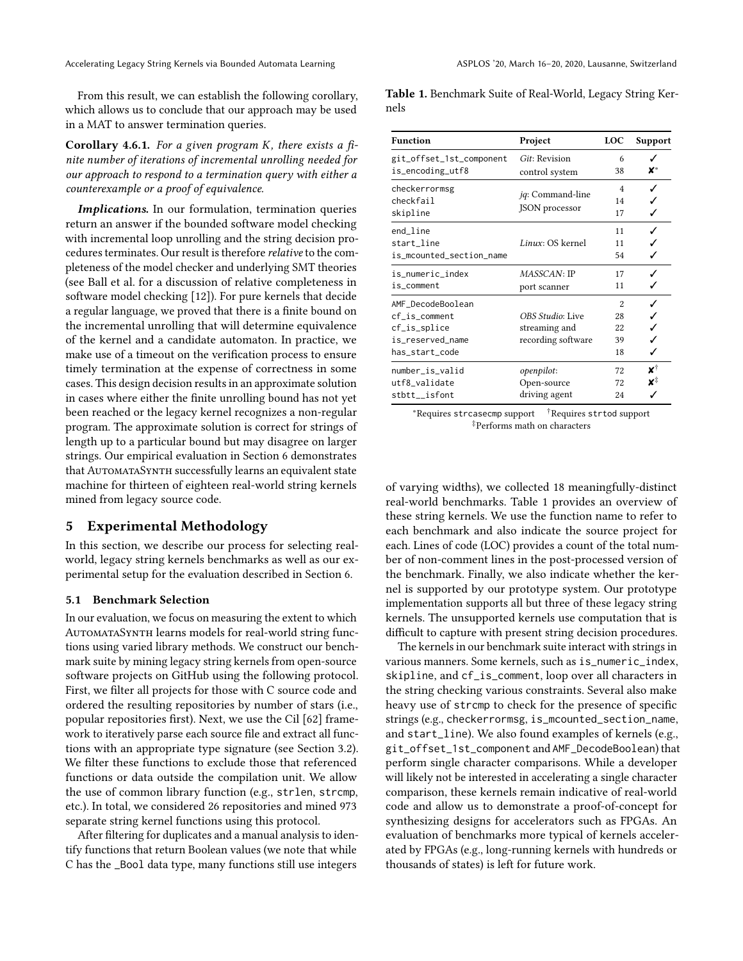From this result, we can establish the following corollary, which allows us to conclude that our approach may be used in a MAT to answer termination queries.

**Corollary 4.6.1.** For a given program K, there exists a finite number of iterations of incremental unrolling needed for our approach to respond to a termination query with either a counterexample or a proof of equivalence.

Implications. In our formulation, termination queries return an answer if the bounded software model checking with incremental loop unrolling and the string decision procedures terminates. Our result is therefore relative to the completeness of the model checker and underlying SMT theories (see Ball et al. for a discussion of relative completeness in software model checking [\[12\]](#page-12-24)). For pure kernels that decide a regular language, we proved that there is a finite bound on the incremental unrolling that will determine equivalence of the kernel and a candidate automaton. In practice, we make use of a timeout on the verification process to ensure timely termination at the expense of correctness in some cases. This design decision results in an approximate solution in cases where either the finite unrolling bound has not yet been reached or the legacy kernel recognizes a non-regular program. The approximate solution is correct for strings of length up to a particular bound but may disagree on larger strings. Our empirical evaluation in Section [6](#page-9-0) demonstrates that AutomataSynth successfully learns an equivalent state machine for thirteen of eighteen real-world string kernels mined from legacy source code.

# 5 Experimental Methodology

In this section, we describe our process for selecting realworld, legacy string kernels benchmarks as well as our experimental setup for the evaluation described in Section [6.](#page-9-0)

## 5.1 Benchmark Selection

In our evaluation, we focus on measuring the extent to which AUTOMATASYNTH learns models for real-world string functions using varied library methods. We construct our benchmark suite by mining legacy string kernels from open-source software projects on GitHub using the following protocol. First, we filter all projects for those with C source code and ordered the resulting repositories by number of stars (i.e., popular repositories first). Next, we use the Cil [\[62\]](#page-13-25) framework to iteratively parse each source file and extract all functions with an appropriate type signature (see Section [3.2\)](#page-3-1). We filter these functions to exclude those that referenced functions or data outside the compilation unit. We allow the use of common library function (e.g., strlen, strcmp, etc.). In total, we considered 26 repositories and mined 973 separate string kernel functions using this protocol.

After filtering for duplicates and a manual analysis to identify functions that return Boolean values (we note that while C has the \_Bool data type, many functions still use integers

<span id="page-8-0"></span>Table 1. Benchmark Suite of Real-World, Legacy String Kernels

| <b>Function</b>          | Project                  | <b>LOC</b>     | <b>Support</b> |  |
|--------------------------|--------------------------|----------------|----------------|--|
| git_offset_1st_component | Git: Revision            | 6              |                |  |
| is_encoding_utf8         | control system           | 38             | X*             |  |
| checkerrormsg            |                          | $\overline{4}$ | ✓              |  |
| checkfail                | <i>iq</i> : Command-line | 14             |                |  |
| skipline                 | JSON processor           | 17             | ✓              |  |
| end_line                 |                          | 11             | J              |  |
| start_line               | Linux: OS kernel         | 11             |                |  |
| is_mcounted_section_name |                          | 54             |                |  |
| is_numeric_index         | MASSCAN: IP              | 17             |                |  |
| is_comment               | port scanner             | 11             |                |  |
| AMF_DecodeBoolean        |                          | $\overline{2}$ |                |  |
| cf_is_comment            | OBS Studio: Live         | 28             | ✓              |  |
| cf_is_splice             | streaming and            | 22             |                |  |
| is_reserved_name         | recording software       | 39             | ✓              |  |
| has_start_code           |                          | 18             | ✓              |  |
| number_is_valid          | openpilot:               | 72             | x†             |  |
| utf8_validate            | Open-source              | 72             | x‡             |  |
| stbtt__isfont            | driving agent            | 24             | ℐ              |  |

<sup>∗</sup>Requires strcasecmp support †Requires strtod support ‡Performs math on characters

of varying widths), we collected 18 meaningfully-distinct real-world benchmarks. Table [1](#page-8-0) provides an overview of these string kernels. We use the function name to refer to each benchmark and also indicate the source project for each. Lines of code (LOC) provides a count of the total number of non-comment lines in the post-processed version of the benchmark. Finally, we also indicate whether the kernel is supported by our prototype system. Our prototype implementation supports all but three of these legacy string kernels. The unsupported kernels use computation that is difficult to capture with present string decision procedures.

The kernels in our benchmark suite interact with strings in various manners. Some kernels, such as is\_numeric\_index, skipline, and cf\_is\_comment, loop over all characters in the string checking various constraints. Several also make heavy use of strcmp to check for the presence of specific strings (e.g., checkerrormsg, is\_mcounted\_section\_name, and start\_line). We also found examples of kernels (e.g., git\_offset\_1st\_component and AMF\_DecodeBoolean) that perform single character comparisons. While a developer will likely not be interested in accelerating a single character comparison, these kernels remain indicative of real-world code and allow us to demonstrate a proof-of-concept for synthesizing designs for accelerators such as FPGAs. An evaluation of benchmarks more typical of kernels accelerated by FPGAs (e.g., long-running kernels with hundreds or thousands of states) is left for future work.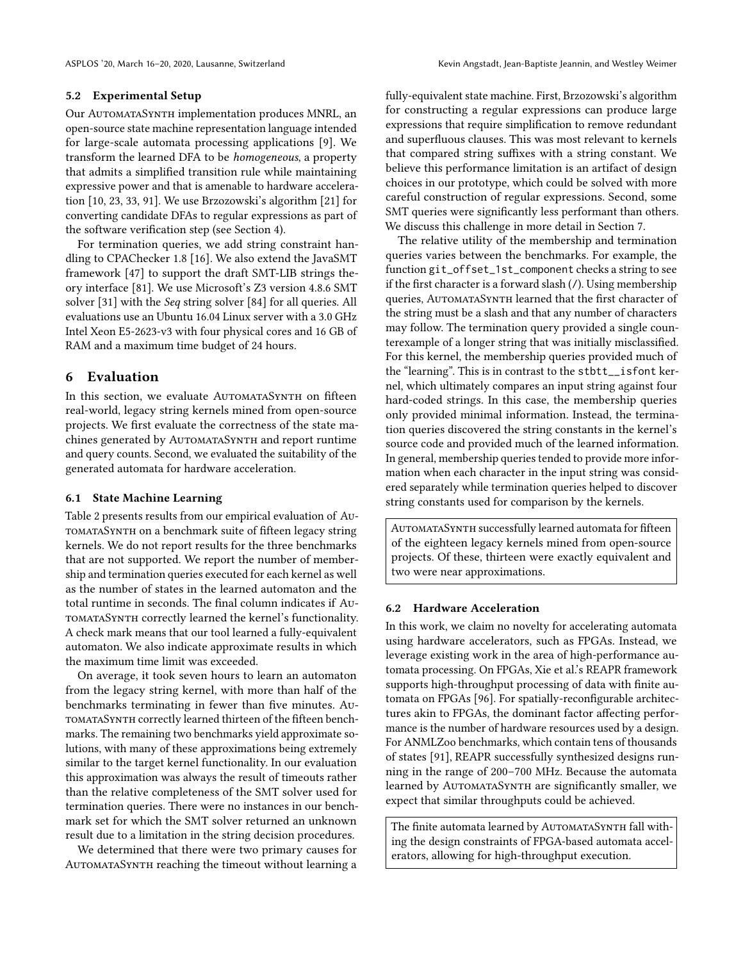#### 5.2 Experimental Setup

Our AutomataSynth implementation produces MNRL, an open-source state machine representation language intended for large-scale automata processing applications [\[9\]](#page-12-25). We transform the learned DFA to be homogeneous, a property that admits a simplified transition rule while maintaining expressive power and that is amenable to hardware acceleration [\[10,](#page-12-3) [23,](#page-12-30) [33,](#page-12-5) [91\]](#page-14-11). We use Brzozowski's algorithm [\[21\]](#page-12-31) for converting candidate DFAs to regular expressions as part of the software verification step (see Section [4\)](#page-5-0).

For termination queries, we add string constraint handling to CPAChecker 1.8 [\[16\]](#page-12-10). We also extend the JavaSMT framework [\[47\]](#page-13-5) to support the draft SMT-LIB strings theory interface [\[81\]](#page-14-17). We use Microsoft's Z3 version 4.8.6 SMT solver [\[31\]](#page-12-11) with the Seq string solver [\[84\]](#page-14-18) for all queries. All evaluations use an Ubuntu 16.04 Linux server with a 3.0 GHz Intel Xeon E5-2623-v3 with four physical cores and 16 GB of RAM and a maximum time budget of 24 hours.

## <span id="page-9-0"></span>6 Evaluation

In this section, we evaluate AUTOMATASYNTH on fifteen real-world, legacy string kernels mined from open-source projects. We first evaluate the correctness of the state machines generated by AUTOMATASYNTH and report runtime and query counts. Second, we evaluated the suitability of the generated automata for hardware acceleration.

## 6.1 State Machine Learning

Table [2](#page-10-1) presents results from our empirical evaluation of AutomataSynth on a benchmark suite of fifteen legacy string kernels. We do not report results for the three benchmarks that are not supported. We report the number of membership and termination queries executed for each kernel as well as the number of states in the learned automaton and the total runtime in seconds. The final column indicates if AutomataSynth correctly learned the kernel's functionality. A check mark means that our tool learned a fully-equivalent automaton. We also indicate approximate results in which the maximum time limit was exceeded.

On average, it took seven hours to learn an automaton from the legacy string kernel, with more than half of the benchmarks terminating in fewer than five minutes. AutomataSynth correctly learned thirteen of the fifteen benchmarks. The remaining two benchmarks yield approximate solutions, with many of these approximations being extremely similar to the target kernel functionality. In our evaluation this approximation was always the result of timeouts rather than the relative completeness of the SMT solver used for termination queries. There were no instances in our benchmark set for which the SMT solver returned an unknown result due to a limitation in the string decision procedures.

We determined that there were two primary causes for AUTOMATASYNTH reaching the timeout without learning a

fully-equivalent state machine. First, Brzozowski's algorithm for constructing a regular expressions can produce large expressions that require simplification to remove redundant and superfluous clauses. This was most relevant to kernels that compared string suffixes with a string constant. We believe this performance limitation is an artifact of design choices in our prototype, which could be solved with more careful construction of regular expressions. Second, some SMT queries were significantly less performant than others. We discuss this challenge in more detail in Section [7.](#page-10-2)

The relative utility of the membership and termination queries varies between the benchmarks. For example, the function git\_offset\_1st\_component checks a string to see if the first character is a forward slash (/). Using membership queries, AUTOMATASYNTH learned that the first character of the string must be a slash and that any number of characters may follow. The termination query provided a single counterexample of a longer string that was initially misclassified. For this kernel, the membership queries provided much of the "learning". This is in contrast to the stbtt\_\_isfont kernel, which ultimately compares an input string against four hard-coded strings. In this case, the membership queries only provided minimal information. Instead, the termination queries discovered the string constants in the kernel's source code and provided much of the learned information. In general, membership queries tended to provide more information when each character in the input string was considered separately while termination queries helped to discover string constants used for comparison by the kernels.

AUTOMATASYNTH successfully learned automata for fifteen of the eighteen legacy kernels mined from open-source projects. Of these, thirteen were exactly equivalent and two were near approximations.

## 6.2 Hardware Acceleration

In this work, we claim no novelty for accelerating automata using hardware accelerators, such as FPGAs. Instead, we leverage existing work in the area of high-performance automata processing. On FPGAs, Xie et al.'s REAPR framework supports high-throughput processing of data with finite automata on FPGAs [\[96\]](#page-14-12). For spatially-reconfigurable architectures akin to FPGAs, the dominant factor affecting performance is the number of hardware resources used by a design. For ANMLZoo benchmarks, which contain tens of thousands of states [\[91\]](#page-14-11), REAPR successfully synthesized designs running in the range of 200–700 MHz. Because the automata learned by AUTOMATASYNTH are significantly smaller, we expect that similar throughputs could be achieved.

The finite automata learned by AUTOMATASYNTH fall withing the design constraints of FPGA-based automata accelerators, allowing for high-throughput execution.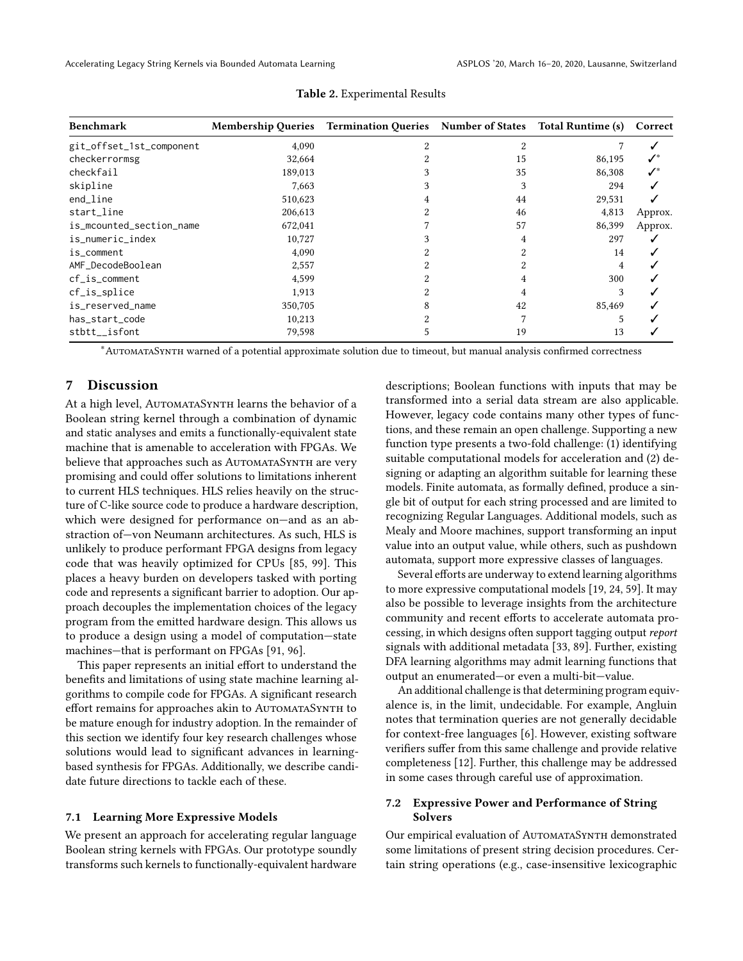<span id="page-10-1"></span>

| <b>Benchmark</b>         | <b>Membership Queries</b> | Termination Queries Number of States Total Runtime (s) |    |        | Correct |
|--------------------------|---------------------------|--------------------------------------------------------|----|--------|---------|
| git_offset_1st_component | 4,090                     | 2                                                      |    |        |         |
| checkerrormsg            | 32,664                    |                                                        | 15 | 86,195 |         |
| checkfail                | 189,013                   |                                                        | 35 | 86,308 | ✓*      |
| skipline                 | 7,663                     |                                                        |    | 294    |         |
| end_line                 | 510,623                   |                                                        | 44 | 29,531 |         |
| start_line               | 206,613                   |                                                        | 46 | 4,813  | Approx. |
| is_mcounted_section_name | 672,041                   |                                                        | 57 | 86,399 | Approx. |
| is_numeric_index         | 10,727                    |                                                        |    | 297    |         |
| is_comment               | 4,090                     |                                                        |    | 14     |         |
| AMF_DecodeBoolean        | 2,557                     |                                                        |    | 4      |         |
| $cf_$ is_comment         | 4,599                     |                                                        |    | 300    |         |
| cf_is_splice             | 1,913                     |                                                        |    | 3      |         |
| is_reserved_name         | 350,705                   |                                                        | 42 | 85,469 |         |
| has_start_code           | 10,213                    |                                                        |    |        |         |
| stbtt__isfont            | 79,598                    |                                                        | 19 | 13     |         |

#### Table 2. Experimental Results

<sup>∗</sup>AutomataSynth warned of a potential approximate solution due to timeout, but manual analysis confirmed correctness

## <span id="page-10-2"></span>7 Discussion

At a high level, AUTOMATASYNTH learns the behavior of a Boolean string kernel through a combination of dynamic and static analyses and emits a functionally-equivalent state machine that is amenable to acceleration with FPGAs. We believe that approaches such as AUTOMATASYNTH are very promising and could offer solutions to limitations inherent to current HLS techniques. HLS relies heavily on the structure of C-like source code to produce a hardware description, which were designed for performance on—and as an abstraction of—von Neumann architectures. As such, HLS is unlikely to produce performant FPGA designs from legacy code that was heavily optimized for CPUs [\[85,](#page-14-4) [99\]](#page-14-5). This places a heavy burden on developers tasked with porting code and represents a significant barrier to adoption. Our approach decouples the implementation choices of the legacy program from the emitted hardware design. This allows us to produce a design using a model of computation—state machines—that is performant on FPGAs [\[91,](#page-14-11) [96\]](#page-14-12).

This paper represents an initial effort to understand the benefits and limitations of using state machine learning algorithms to compile code for FPGAs. A significant research effort remains for approaches akin to AutomataSynth to be mature enough for industry adoption. In the remainder of this section we identify four key research challenges whose solutions would lead to significant advances in learningbased synthesis for FPGAs. Additionally, we describe candidate future directions to tackle each of these.

## <span id="page-10-0"></span>7.1 Learning More Expressive Models

We present an approach for accelerating regular language Boolean string kernels with FPGAs. Our prototype soundly transforms such kernels to functionally-equivalent hardware descriptions; Boolean functions with inputs that may be transformed into a serial data stream are also applicable. However, legacy code contains many other types of functions, and these remain an open challenge. Supporting a new function type presents a two-fold challenge: (1) identifying suitable computational models for acceleration and (2) designing or adapting an algorithm suitable for learning these models. Finite automata, as formally defined, produce a single bit of output for each string processed and are limited to recognizing Regular Languages. Additional models, such as Mealy and Moore machines, support transforming an input value into an output value, while others, such as pushdown automata, support more expressive classes of languages.

Several efforts are underway to extend learning algorithms to more expressive computational models [\[19,](#page-12-19) [24,](#page-12-32) [59\]](#page-13-26). It may also be possible to leverage insights from the architecture community and recent efforts to accelerate automata processing, in which designs often support tagging output report signals with additional metadata [\[33,](#page-12-5) [89\]](#page-14-28). Further, existing DFA learning algorithms may admit learning functions that output an enumerated—or even a multi-bit—value.

An additional challenge is that determining program equivalence is, in the limit, undecidable. For example, Angluin notes that termination queries are not generally decidable for context-free languages [\[6\]](#page-12-18). However, existing software verifiers suffer from this same challenge and provide relative completeness [\[12\]](#page-12-24). Further, this challenge may be addressed in some cases through careful use of approximation.

# 7.2 Expressive Power and Performance of String Solvers

Our empirical evaluation of AUTOMATASYNTH demonstrated some limitations of present string decision procedures. Certain string operations (e.g., case-insensitive lexicographic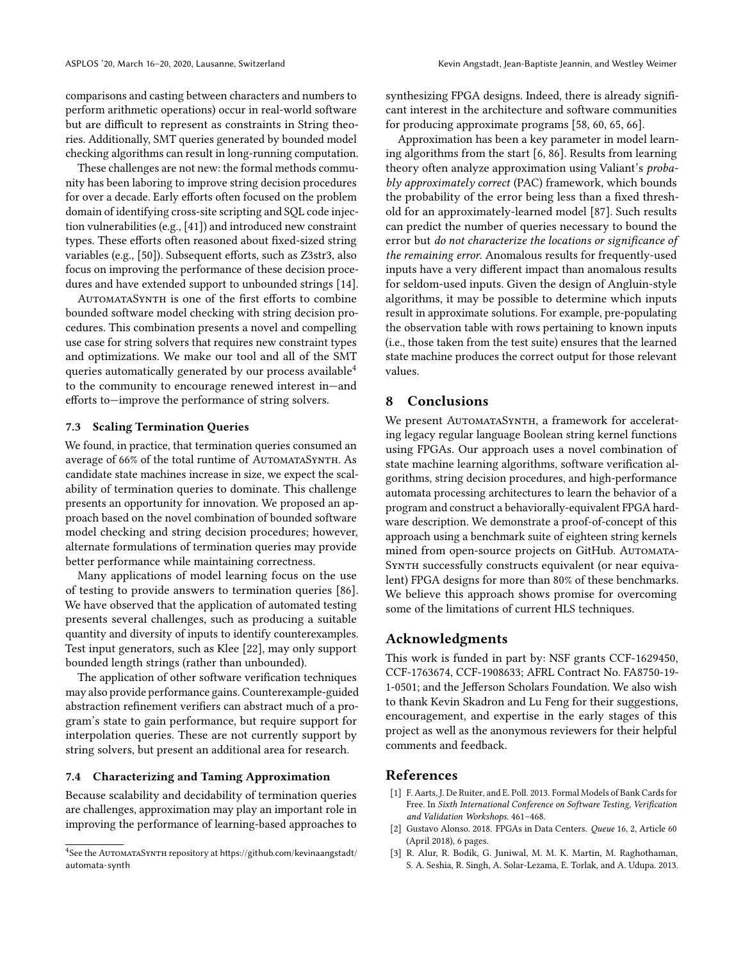comparisons and casting between characters and numbers to perform arithmetic operations) occur in real-world software but are difficult to represent as constraints in String theories. Additionally, SMT queries generated by bounded model checking algorithms can result in long-running computation.

These challenges are not new: the formal methods community has been laboring to improve string decision procedures for over a decade. Early efforts often focused on the problem domain of identifying cross-site scripting and SQL code injection vulnerabilities (e.g., [\[41\]](#page-13-27)) and introduced new constraint types. These efforts often reasoned about fixed-sized string variables (e.g., [\[50\]](#page-13-28)). Subsequent efforts, such as Z3str3, also focus on improving the performance of these decision procedures and have extended support to unbounded strings [\[14\]](#page-12-29).

AutomataSynth is one of the first efforts to combine bounded software model checking with string decision procedures. This combination presents a novel and compelling use case for string solvers that requires new constraint types and optimizations. We make our tool and all of the SMT queries automatically generated by our process available[4](#page-11-3) to the community to encourage renewed interest in—and efforts to—improve the performance of string solvers.

## 7.3 Scaling Termination Queries

We found, in practice, that termination queries consumed an average of 66% of the total runtime of AUTOMATASYNTH. As candidate state machines increase in size, we expect the scalability of termination queries to dominate. This challenge presents an opportunity for innovation. We proposed an approach based on the novel combination of bounded software model checking and string decision procedures; however, alternate formulations of termination queries may provide better performance while maintaining correctness.

Many applications of model learning focus on the use of testing to provide answers to termination queries [\[86\]](#page-14-21). We have observed that the application of automated testing presents several challenges, such as producing a suitable quantity and diversity of inputs to identify counterexamples. Test input generators, such as Klee [\[22\]](#page-12-33), may only support bounded length strings (rather than unbounded).

The application of other software verification techniques may also provide performance gains. Counterexample-guided abstraction refinement verifiers can abstract much of a program's state to gain performance, but require support for interpolation queries. These are not currently support by string solvers, but present an additional area for research.

#### 7.4 Characterizing and Taming Approximation

Because scalability and decidability of termination queries are challenges, approximation may play an important role in improving the performance of learning-based approaches to

synthesizing FPGA designs. Indeed, there is already significant interest in the architecture and software communities for producing approximate programs [\[58,](#page-13-29) [60,](#page-13-30) [65,](#page-13-31) [66\]](#page-13-32).

Approximation has been a key parameter in model learning algorithms from the start [\[6,](#page-12-18) [86\]](#page-14-21). Results from learning theory often analyze approximation using Valiant's probably approximately correct (PAC) framework, which bounds the probability of the error being less than a fixed threshold for an approximately-learned model [\[87\]](#page-14-29). Such results can predict the number of queries necessary to bound the error but do not characterize the locations or significance of the remaining error. Anomalous results for frequently-used inputs have a very different impact than anomalous results for seldom-used inputs. Given the design of Angluin-style algorithms, it may be possible to determine which inputs result in approximate solutions. For example, pre-populating the observation table with rows pertaining to known inputs (i.e., those taken from the test suite) ensures that the learned state machine produces the correct output for those relevant values.

# 8 Conclusions

We present AUTOMATASYNTH, a framework for accelerating legacy regular language Boolean string kernel functions using FPGAs. Our approach uses a novel combination of state machine learning algorithms, software verification algorithms, string decision procedures, and high-performance automata processing architectures to learn the behavior of a program and construct a behaviorally-equivalent FPGA hardware description. We demonstrate a proof-of-concept of this approach using a benchmark suite of eighteen string kernels mined from open-source projects on GitHub. AUTOMATA-SYNTH successfully constructs equivalent (or near equivalent) FPGA designs for more than 80% of these benchmarks. We believe this approach shows promise for overcoming some of the limitations of current HLS techniques.

# Acknowledgments

This work is funded in part by: NSF grants CCF-1629450, CCF-1763674, CCF-1908633; AFRL Contract No. FA8750-19- 1-0501; and the Jefferson Scholars Foundation. We also wish to thank Kevin Skadron and Lu Feng for their suggestions, encouragement, and expertise in the early stages of this project as well as the anonymous reviewers for their helpful comments and feedback.

# References

- <span id="page-11-1"></span>[1] F. Aarts, J. De Ruiter, and E. Poll. 2013. Formal Models of Bank Cards for Free. In Sixth International Conference on Software Testing, Verification and Validation Workshops. 461–468.
- <span id="page-11-0"></span>[2] Gustavo Alonso. 2018. FPGAs in Data Centers. Queue 16, 2, Article 60 (April 2018), 6 pages.
- <span id="page-11-2"></span>[3] R. Alur, R. Bodik, G. Juniwal, M. M. K. Martin, M. Raghothaman, S. A. Seshia, R. Singh, A. Solar-Lezama, E. Torlak, and A. Udupa. 2013.

<span id="page-11-3"></span><sup>&</sup>lt;sup>4</sup>See the AUTOMATASYNTH repository at [https://github.com/kevinaangstadt/](https://github.com/kevinaangstadt/automata-synth) [automata-synth](https://github.com/kevinaangstadt/automata-synth)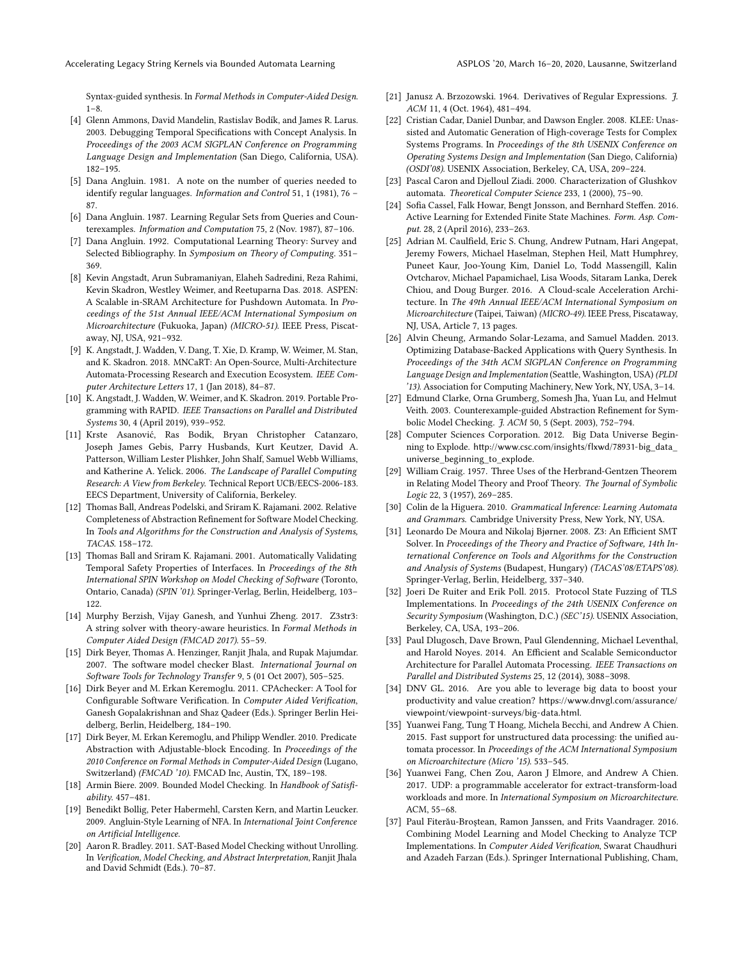Syntax-guided synthesis. In Formal Methods in Computer-Aided Design. 1–8.

- <span id="page-12-13"></span>[4] Glenn Ammons, David Mandelin, Rastislav Bodík, and James R. Larus. 2003. Debugging Temporal Specifications with Concept Analysis. In Proceedings of the 2003 ACM SIGPLAN Conference on Programming Language Design and Implementation (San Diego, California, USA). 182–195.
- <span id="page-12-14"></span>[5] Dana Angluin. 1981. A note on the number of queries needed to identify regular languages. Information and Control 51, 1 (1981), 76 – 87.
- <span id="page-12-18"></span>[6] Dana Angluin. 1987. Learning Regular Sets from Queries and Counterexamples. Information and Computation 75, 2 (Nov. 1987), 87–106.
- <span id="page-12-8"></span>[7] Dana Angluin. 1992. Computational Learning Theory: Survey and Selected Bibliography. In Symposium on Theory of Computing. 351– 369.
- <span id="page-12-4"></span>[8] Kevin Angstadt, Arun Subramaniyan, Elaheh Sadredini, Reza Rahimi, Kevin Skadron, Westley Weimer, and Reetuparna Das. 2018. ASPEN: A Scalable in-SRAM Architecture for Pushdown Automata. In Proceedings of the 51st Annual IEEE/ACM International Symposium on Microarchitecture (Fukuoka, Japan) (MICRO-51). IEEE Press, Piscataway, NJ, USA, 921–932.
- <span id="page-12-25"></span>[9] K. Angstadt, J. Wadden, V. Dang, T. Xie, D. Kramp, W. Weimer, M. Stan, and K. Skadron. 2018. MNCaRT: An Open-Source, Multi-Architecture Automata-Processing Research and Execution Ecosystem. IEEE Computer Architecture Letters 17, 1 (Jan 2018), 84–87.
- <span id="page-12-3"></span>[10] K. Angstadt, J. Wadden, W. Weimer, and K. Skadron. 2019. Portable Programming with RAPID. IEEE Transactions on Parallel and Distributed Systems 30, 4 (April 2019), 939–952.
- <span id="page-12-12"></span>[11] Krste Asanović, Ras Bodik, Bryan Christopher Catanzaro, Joseph James Gebis, Parry Husbands, Kurt Keutzer, David A. Patterson, William Lester Plishker, John Shalf, Samuel Webb Williams, and Katherine A. Yelick. 2006. The Landscape of Parallel Computing Research: A View from Berkeley. Technical Report UCB/EECS-2006-183. EECS Department, University of California, Berkeley.
- <span id="page-12-24"></span>[12] Thomas Ball, Andreas Podelski, and Sriram K. Rajamani. 2002. Relative Completeness of Abstraction Refinement for Software Model Checking. In Tools and Algorithms for the Construction and Analysis of Systems, TACAS. 158–172.
- <span id="page-12-27"></span>[13] Thomas Ball and Sriram K. Rajamani. 2001. Automatically Validating Temporal Safety Properties of Interfaces. In Proceedings of the 8th International SPIN Workshop on Model Checking of Software (Toronto, Ontario, Canada) (SPIN '01). Springer-Verlag, Berlin, Heidelberg, 103– 122.
- <span id="page-12-29"></span>[14] Murphy Berzish, Vijay Ganesh, and Yunhui Zheng. 2017. Z3str3: A string solver with theory-aware heuristics. In Formal Methods in Computer Aided Design (FMCAD 2017). 55–59.
- <span id="page-12-9"></span>[15] Dirk Beyer, Thomas A. Henzinger, Ranjit Jhala, and Rupak Majumdar. 2007. The software model checker Blast. International Journal on Software Tools for Technology Transfer 9, 5 (01 Oct 2007), 505–525.
- <span id="page-12-10"></span>[16] Dirk Beyer and M. Erkan Keremoglu. 2011. CPAchecker: A Tool for Configurable Software Verification. In Computer Aided Verification, Ganesh Gopalakrishnan and Shaz Qadeer (Eds.). Springer Berlin Heidelberg, Berlin, Heidelberg, 184–190.
- <span id="page-12-20"></span>[17] Dirk Beyer, M. Erkan Keremoglu, and Philipp Wendler. 2010. Predicate Abstraction with Adjustable-block Encoding. In Proceedings of the 2010 Conference on Formal Methods in Computer-Aided Design (Lugano, Switzerland) (FMCAD '10). FMCAD Inc, Austin, TX, 189–198.
- <span id="page-12-22"></span>[18] Armin Biere. 2009. Bounded Model Checking. In Handbook of Satisfiability. 457–481.
- <span id="page-12-19"></span>[19] Benedikt Bollig, Peter Habermehl, Carsten Kern, and Martin Leucker. 2009. Angluin-Style Learning of NFA. In International Joint Conference on Artificial Intelligence.
- <span id="page-12-28"></span>[20] Aaron R. Bradley. 2011. SAT-Based Model Checking without Unrolling. In Verification, Model Checking, and Abstract Interpretation, Ranjit Jhala and David Schmidt (Eds.). 70–87.
- <span id="page-12-31"></span>[21] Janusz A. Brzozowski. 1964. Derivatives of Regular Expressions. 7. ACM 11, 4 (Oct. 1964), 481–494.
- <span id="page-12-33"></span>[22] Cristian Cadar, Daniel Dunbar, and Dawson Engler. 2008. KLEE: Unassisted and Automatic Generation of High-coverage Tests for Complex Systems Programs. In Proceedings of the 8th USENIX Conference on Operating Systems Design and Implementation (San Diego, California) (OSDI'08). USENIX Association, Berkeley, CA, USA, 209–224.
- <span id="page-12-30"></span>[23] Pascal Caron and Djelloul Ziadi. 2000. Characterization of Glushkov automata. Theoretical Computer Science 233, 1 (2000), 75–90.
- <span id="page-12-32"></span>[24] Sofia Cassel, Falk Howar, Bengt Jonsson, and Bernhard Steffen. 2016. Active Learning for Extended Finite State Machines. Form. Asp. Comput. 28, 2 (April 2016), 233–263.
- <span id="page-12-2"></span>[25] Adrian M. Caulfield, Eric S. Chung, Andrew Putnam, Hari Angepat, Jeremy Fowers, Michael Haselman, Stephen Heil, Matt Humphrey, Puneet Kaur, Joo-Young Kim, Daniel Lo, Todd Massengill, Kalin Ovtcharov, Michael Papamichael, Lisa Woods, Sitaram Lanka, Derek Chiou, and Doug Burger. 2016. A Cloud-scale Acceleration Architecture. In The 49th Annual IEEE/ACM International Symposium on Microarchitecture (Taipei, Taiwan) (MICRO-49). IEEE Press, Piscataway, NJ, USA, Article 7, 13 pages.
- <span id="page-12-23"></span>[26] Alvin Cheung, Armando Solar-Lezama, and Samuel Madden. 2013. Optimizing Database-Backed Applications with Query Synthesis. In Proceedings of the 34th ACM SIGPLAN Conference on Programming Language Design and Implementation (Seattle, Washington, USA) (PLDI '13). Association for Computing Machinery, New York, NY, USA, 3–14.
- <span id="page-12-21"></span>[27] Edmund Clarke, Orna Grumberg, Somesh Jha, Yuan Lu, and Helmut Veith. 2003. Counterexample-guided Abstraction Refinement for Symbolic Model Checking. *J. ACM* 50, 5 (Sept. 2003), 752-794.
- <span id="page-12-1"></span>[28] Computer Sciences Corporation. 2012. Big Data Universe Beginning to Explode. [http://www.csc.com/insights/flxwd/78931-big\\_data\\_](http://www.csc.com/insights/flxwd/78931-big_data_universe_beginning_to_explode) [universe\\_beginning\\_to\\_explode](http://www.csc.com/insights/flxwd/78931-big_data_universe_beginning_to_explode).
- <span id="page-12-26"></span>[29] William Craig. 1957. Three Uses of the Herbrand-Gentzen Theorem in Relating Model Theory and Proof Theory. The Journal of Symbolic Logic 22, 3 (1957), 269–285.
- <span id="page-12-15"></span>[30] Colin de la Higuera. 2010. Grammatical Inference: Learning Automata and Grammars. Cambridge University Press, New York, NY, USA.
- <span id="page-12-11"></span>[31] Leonardo De Moura and Nikolaj Bjørner. 2008. Z3: An Efficient SMT Solver. In Proceedings of the Theory and Practice of Software, 14th International Conference on Tools and Algorithms for the Construction and Analysis of Systems (Budapest, Hungary) (TACAS'08/ETAPS'08). Springer-Verlag, Berlin, Heidelberg, 337–340.
- <span id="page-12-16"></span>[32] Joeri De Ruiter and Erik Poll. 2015. Protocol State Fuzzing of TLS Implementations. In Proceedings of the 24th USENIX Conference on Security Symposium (Washington, D.C.) (SEC'15). USENIX Association, Berkeley, CA, USA, 193–206.
- <span id="page-12-5"></span>[33] Paul Dlugosch, Dave Brown, Paul Glendenning, Michael Leventhal, and Harold Noyes. 2014. An Efficient and Scalable Semiconductor Architecture for Parallel Automata Processing. IEEE Transactions on Parallel and Distributed Systems 25, 12 (2014), 3088–3098.
- <span id="page-12-0"></span>[34] DNV GL. 2016. Are you able to leverage big data to boost your productivity and value creation? [https://www.dnvgl.com/assurance/](https://www.dnvgl.com/assurance/viewpoint/viewpoint-surveys/big-data.html) [viewpoint/viewpoint-surveys/big-data.html](https://www.dnvgl.com/assurance/viewpoint/viewpoint-surveys/big-data.html).
- <span id="page-12-6"></span>[35] Yuanwei Fang, Tung T Hoang, Michela Becchi, and Andrew A Chien. 2015. Fast support for unstructured data processing: the unified automata processor. In Proceedings of the ACM International Symposium on Microarchitecture (Micro '15). 533–545.
- <span id="page-12-7"></span>[36] Yuanwei Fang, Chen Zou, Aaron J Elmore, and Andrew A Chien. 2017. UDP: a programmable accelerator for extract-transform-load workloads and more. In International Symposium on Microarchitecture. ACM, 55–68.
- <span id="page-12-17"></span>[37] Paul Fiterău-Broştean, Ramon Janssen, and Frits Vaandrager. 2016. Combining Model Learning and Model Checking to Analyze TCP Implementations. In Computer Aided Verification, Swarat Chaudhuri and Azadeh Farzan (Eds.). Springer International Publishing, Cham,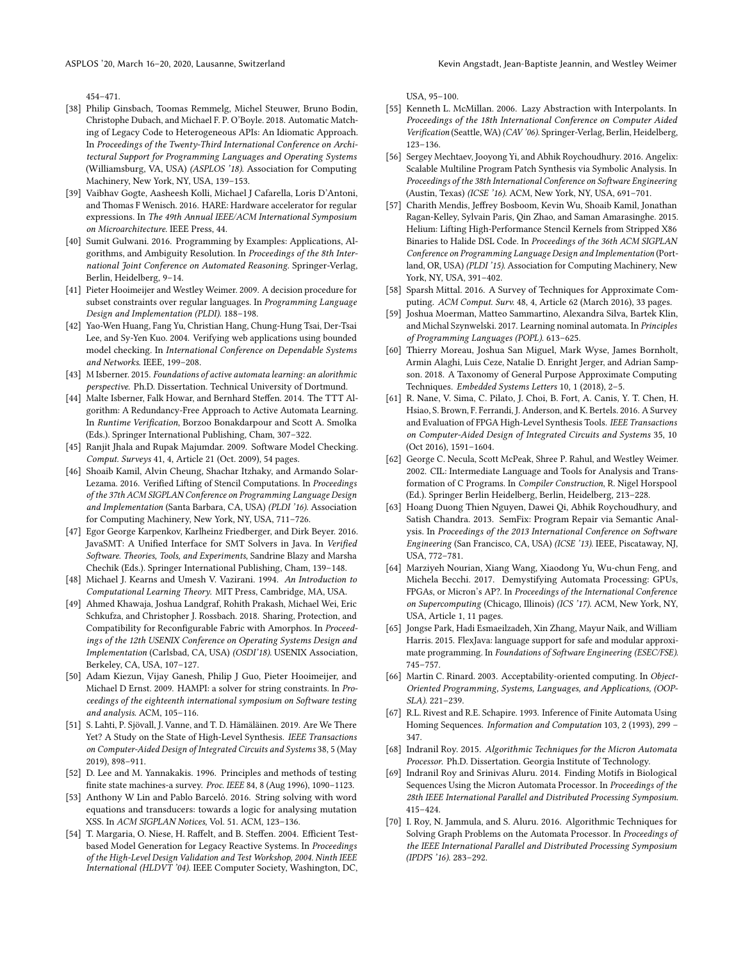454–471.

- <span id="page-13-23"></span>[38] Philip Ginsbach, Toomas Remmelg, Michel Steuwer, Bruno Bodin, Christophe Dubach, and Michael F. P. O'Boyle. 2018. Automatic Matching of Legacy Code to Heterogeneous APIs: An Idiomatic Approach. In Proceedings of the Twenty-Third International Conference on Architectural Support for Programming Languages and Operating Systems (Williamsburg, VA, USA) (ASPLOS '18). Association for Computing Machinery, New York, NY, USA, 139–153.
- <span id="page-13-4"></span>[39] Vaibhav Gogte, Aasheesh Kolli, Michael J Cafarella, Loris D'Antoni, and Thomas F Wenisch. 2016. HARE: Hardware accelerator for regular expressions. In The 49th Annual IEEE/ACM International Symposium on Microarchitecture. IEEE Press, 44.
- <span id="page-13-14"></span>[40] Sumit Gulwani. 2016. Programming by Examples: Applications, Algorithms, and Ambiguity Resolution. In Proceedings of the 8th International Joint Conference on Automated Reasoning. Springer-Verlag, Berlin, Heidelberg, 9–14.
- <span id="page-13-27"></span>[41] Pieter Hooimeijer and Westley Weimer. 2009. A decision procedure for subset constraints over regular languages. In Programming Language Design and Implementation (PLDI). 188–198.
- <span id="page-13-19"></span>[42] Yao-Wen Huang, Fang Yu, Christian Hang, Chung-Hung Tsai, Der-Tsai Lee, and Sy-Yen Kuo. 2004. Verifying web applications using bounded model checking. In International Conference on Dependable Systems and Networks. IEEE, 199–208.
- <span id="page-13-9"></span>[43] M Isberner. 2015. Foundations of active automata learning: an alorithmic perspective. Ph.D. Dissertation. Technical University of Dortmund.
- <span id="page-13-10"></span>[44] Malte Isberner, Falk Howar, and Bernhard Steffen. 2014. The TTT Algorithm: A Redundancy-Free Approach to Active Automata Learning. In Runtime Verification, Borzoo Bonakdarpour and Scott A. Smolka (Eds.). Springer International Publishing, Cham, 307–322.
- <span id="page-13-18"></span>[45] Ranjit Jhala and Rupak Majumdar. 2009. Software Model Checking. Comput. Surveys 41, 4, Article 21 (Oct. 2009), 54 pages.
- <span id="page-13-21"></span>[46] Shoaib Kamil, Alvin Cheung, Shachar Itzhaky, and Armando Solar-Lezama. 2016. Verified Lifting of Stencil Computations. In Proceedings of the 37th ACM SIGPLAN Conference on Programming Language Design and Implementation (Santa Barbara, CA, USA) (PLDI '16). Association for Computing Machinery, New York, NY, USA, 711–726.
- <span id="page-13-5"></span>[47] Egor George Karpenkov, Karlheinz Friedberger, and Dirk Beyer. 2016. JavaSMT: A Unified Interface for SMT Solvers in Java. In Verified Software. Theories, Tools, and Experiments, Sandrine Blazy and Marsha Chechik (Eds.). Springer International Publishing, Cham, 139–148.
- <span id="page-13-11"></span>[48] Michael J. Kearns and Umesh V. Vazirani. 1994. An Introduction to Computational Learning Theory. MIT Press, Cambridge, MA, USA.
- <span id="page-13-0"></span>[49] Ahmed Khawaja, Joshua Landgraf, Rohith Prakash, Michael Wei, Eric Schkufza, and Christopher J. Rossbach. 2018. Sharing, Protection, and Compatibility for Reconfigurable Fabric with Amorphos. In Proceedings of the 12th USENIX Conference on Operating Systems Design and Implementation (Carlsbad, CA, USA) (OSDI'18). USENIX Association, Berkeley, CA, USA, 107–127.
- <span id="page-13-28"></span>[50] Adam Kiezun, Vijay Ganesh, Philip J Guo, Pieter Hooimeijer, and Michael D Ernst. 2009. HAMPI: a solver for string constraints. In Proceedings of the eighteenth international symposium on Software testing and analysis. ACM, 105–116.
- <span id="page-13-24"></span>[51] S. Lahti, P. Sjövall, J. Vanne, and T. D. Hämäläinen. 2019. Are We There Yet? A Study on the State of High-Level Synthesis. IEEE Transactions on Computer-Aided Design of Integrated Circuits and Systems 38, 5 (May 2019), 898–911.
- <span id="page-13-13"></span>[52] D. Lee and M. Yannakakis. 1996. Principles and methods of testing finite state machines-a survey. Proc. IEEE 84, 8 (Aug 1996), 1090–1123.
- <span id="page-13-20"></span>[53] Anthony W Lin and Pablo Barceló. 2016. String solving with word equations and transducers: towards a logic for analysing mutation XSS. In ACM SIGPLAN Notices, Vol. 51. ACM, 123–136.
- <span id="page-13-8"></span>[54] T. Margaria, O. Niese, H. Raffelt, and B. Steffen. 2004. Efficient Testbased Model Generation for Legacy Reactive Systems. In Proceedings of the High-Level Design Validation and Test Workshop, 2004. Ninth IEEE International (HLDVT '04). IEEE Computer Society, Washington, DC,

USA, 95–100.

- <span id="page-13-17"></span>[55] Kenneth L. McMillan. 2006. Lazy Abstraction with Interpolants. In Proceedings of the 18th International Conference on Computer Aided Verification (Seattle, WA) (CAV '06). Springer-Verlag, Berlin, Heidelberg, 123–136.
- <span id="page-13-15"></span>[56] Sergey Mechtaev, Jooyong Yi, and Abhik Roychoudhury. 2016. Angelix: Scalable Multiline Program Patch Synthesis via Symbolic Analysis. In Proceedings of the 38th International Conference on Software Engineering (Austin, Texas) (ICSE '16). ACM, New York, NY, USA, 691–701.
- <span id="page-13-22"></span>[57] Charith Mendis, Jeffrey Bosboom, Kevin Wu, Shoaib Kamil, Jonathan Ragan-Kelley, Sylvain Paris, Qin Zhao, and Saman Amarasinghe. 2015. Helium: Lifting High-Performance Stencil Kernels from Stripped X86 Binaries to Halide DSL Code. In Proceedings of the 36th ACM SIGPLAN Conference on Programming Language Design and Implementation (Portland, OR, USA) (PLDI '15). Association for Computing Machinery, New York, NY, USA, 391–402.
- <span id="page-13-29"></span>[58] Sparsh Mittal. 2016. A Survey of Techniques for Approximate Computing. ACM Comput. Surv. 48, 4, Article 62 (March 2016), 33 pages.
- <span id="page-13-26"></span>[59] Joshua Moerman, Matteo Sammartino, Alexandra Silva, Bartek Klin, and Michal Szynwelski. 2017. Learning nominal automata. In Principles of Programming Languages (POPL). 613–625.
- <span id="page-13-30"></span>[60] Thierry Moreau, Joshua San Miguel, Mark Wyse, James Bornholt, Armin Alaghi, Luis Ceze, Natalie D. Enright Jerger, and Adrian Sampson. 2018. A Taxonomy of General Purpose Approximate Computing Techniques. Embedded Systems Letters 10, 1 (2018), 2–5.
- <span id="page-13-1"></span>[61] R. Nane, V. Sima, C. Pilato, J. Choi, B. Fort, A. Canis, Y. T. Chen, H. Hsiao, S. Brown, F. Ferrandi, J. Anderson, and K. Bertels. 2016. A Survey and Evaluation of FPGA High-Level Synthesis Tools. IEEE Transactions on Computer-Aided Design of Integrated Circuits and Systems 35, 10 (Oct 2016), 1591–1604.
- <span id="page-13-25"></span>[62] George C. Necula, Scott McPeak, Shree P. Rahul, and Westley Weimer. 2002. CIL: Intermediate Language and Tools for Analysis and Transformation of C Programs. In Compiler Construction, R. Nigel Horspool (Ed.). Springer Berlin Heidelberg, Berlin, Heidelberg, 213–228.
- <span id="page-13-16"></span>[63] Hoang Duong Thien Nguyen, Dawei Qi, Abhik Roychoudhury, and Satish Chandra. 2013. SemFix: Program Repair via Semantic Analysis. In Proceedings of the 2013 International Conference on Software Engineering (San Francisco, CA, USA) (ICSE '13). IEEE, Piscataway, NJ, USA, 772–781.
- <span id="page-13-6"></span>[64] Marziyeh Nourian, Xiang Wang, Xiaodong Yu, Wu-chun Feng, and Michela Becchi. 2017. Demystifying Automata Processing: GPUs, FPGAs, or Micron's AP?. In Proceedings of the International Conference on Supercomputing (Chicago, Illinois) (ICS '17). ACM, New York, NY, USA, Article 1, 11 pages.
- <span id="page-13-31"></span>[65] Jongse Park, Hadi Esmaeilzadeh, Xin Zhang, Mayur Naik, and William Harris. 2015. FlexJava: language support for safe and modular approximate programming. In Foundations of Software Engineering (ESEC/FSE). 745–757.
- <span id="page-13-32"></span>[66] Martin C. Rinard. 2003. Acceptability-oriented computing. In Object-Oriented Programming, Systems, Languages, and Applications, (OOP-SLA). 221–239.
- <span id="page-13-12"></span>[67] R.L. Rivest and R.E. Schapire. 1993. Inference of Finite Automata Using Homing Sequences. Information and Computation 103, 2 (1993), 299 – 347.
- <span id="page-13-2"></span>[68] Indranil Roy. 2015. Algorithmic Techniques for the Micron Automata Processor. Ph.D. Dissertation. Georgia Institute of Technology.
- <span id="page-13-3"></span>[69] Indranil Roy and Srinivas Aluru. 2014. Finding Motifs in Biological Sequences Using the Micron Automata Processor. In Proceedings of the 28th IEEE International Parallel and Distributed Processing Symposium. 415–424.
- <span id="page-13-7"></span>[70] I. Roy, N. Jammula, and S. Aluru. 2016. Algorithmic Techniques for Solving Graph Problems on the Automata Processor. In Proceedings of the IEEE International Parallel and Distributed Processing Symposium (IPDPS '16). 283–292.